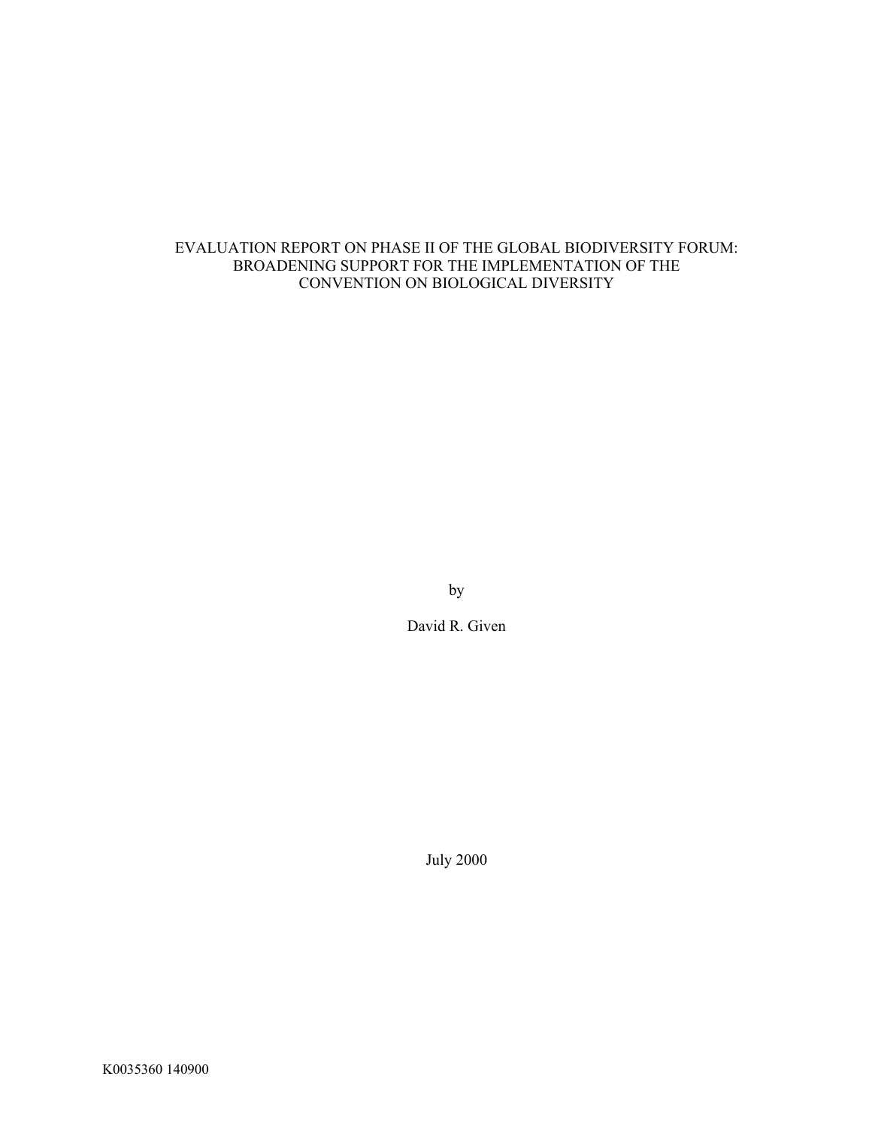### EVALUATION REPORT ON PHASE II OF THE GLOBAL BIODIVERSITY FORUM: BROADENING SUPPORT FOR THE IMPLEMENTATION OF THE CONVENTION ON BIOLOGICAL DIVERSITY

by

David R. Given

July 2000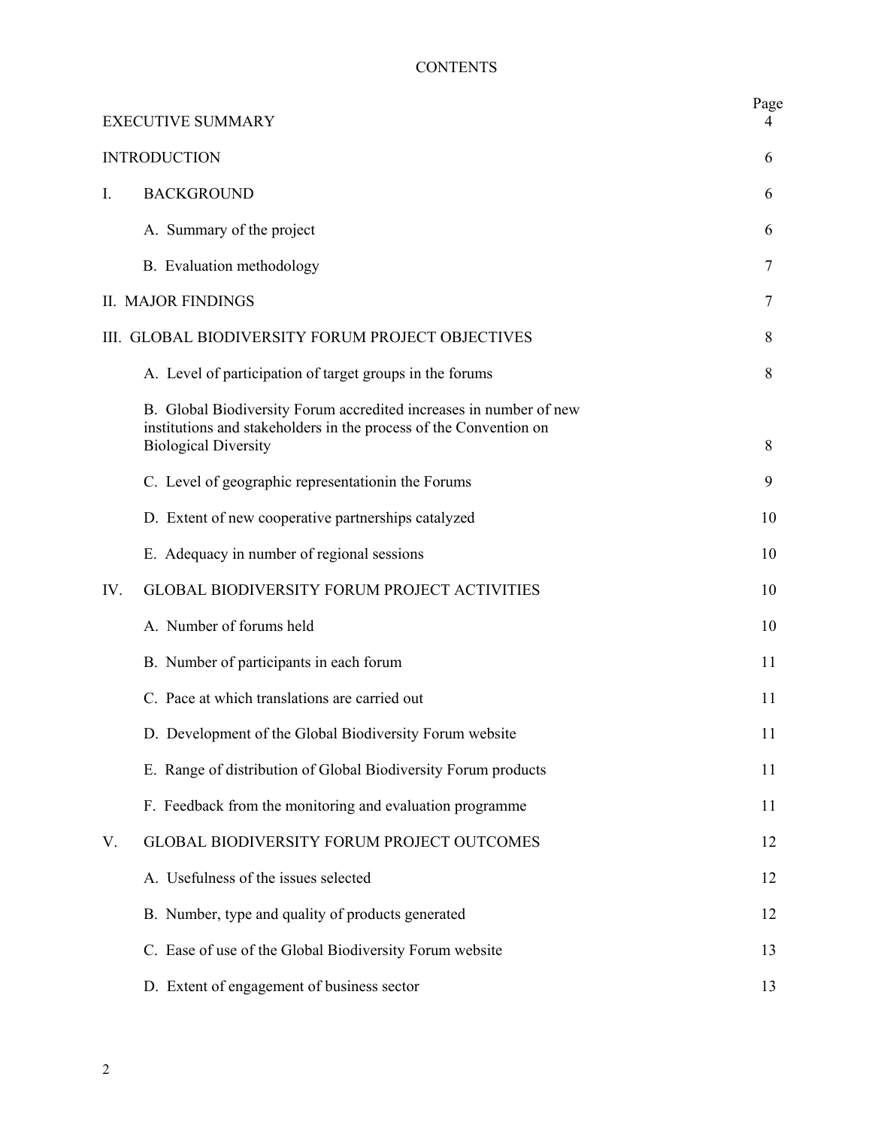# **CONTENTS**

|                                                   | <b>EXECUTIVE SUMMARY</b>                                                                                                                                               | Page<br>4 |
|---------------------------------------------------|------------------------------------------------------------------------------------------------------------------------------------------------------------------------|-----------|
|                                                   | <b>INTRODUCTION</b>                                                                                                                                                    | 6         |
| $\mathbf{I}$ .                                    | <b>BACKGROUND</b>                                                                                                                                                      | 6         |
|                                                   | A. Summary of the project                                                                                                                                              | 6         |
|                                                   | B. Evaluation methodology                                                                                                                                              | 7         |
|                                                   | <b>II. MAJOR FINDINGS</b>                                                                                                                                              | 7         |
| III. GLOBAL BIODIVERSITY FORUM PROJECT OBJECTIVES |                                                                                                                                                                        | 8         |
|                                                   | A. Level of participation of target groups in the forums                                                                                                               | 8         |
|                                                   | B. Global Biodiversity Forum accredited increases in number of new<br>institutions and stakeholders in the process of the Convention on<br><b>Biological Diversity</b> | 8         |
|                                                   | C. Level of geographic representation in the Forums                                                                                                                    | 9         |
|                                                   | D. Extent of new cooperative partnerships catalyzed                                                                                                                    | 10        |
|                                                   | E. Adequacy in number of regional sessions                                                                                                                             | 10        |
| IV.                                               | GLOBAL BIODIVERSITY FORUM PROJECT ACTIVITIES                                                                                                                           | 10        |
|                                                   | A. Number of forums held                                                                                                                                               | 10        |
|                                                   | B. Number of participants in each forum                                                                                                                                | 11        |
|                                                   | C. Pace at which translations are carried out                                                                                                                          | 11        |
|                                                   | D. Development of the Global Biodiversity Forum website                                                                                                                | 11        |
|                                                   | E. Range of distribution of Global Biodiversity Forum products                                                                                                         | 11        |
|                                                   | F. Feedback from the monitoring and evaluation programme                                                                                                               | 11        |
| V.                                                | GLOBAL BIODIVERSITY FORUM PROJECT OUTCOMES                                                                                                                             | 12        |
|                                                   | A. Usefulness of the issues selected                                                                                                                                   | 12        |
|                                                   | B. Number, type and quality of products generated                                                                                                                      | 12        |
|                                                   | C. Ease of use of the Global Biodiversity Forum website                                                                                                                | 13        |
|                                                   | D. Extent of engagement of business sector                                                                                                                             | 13        |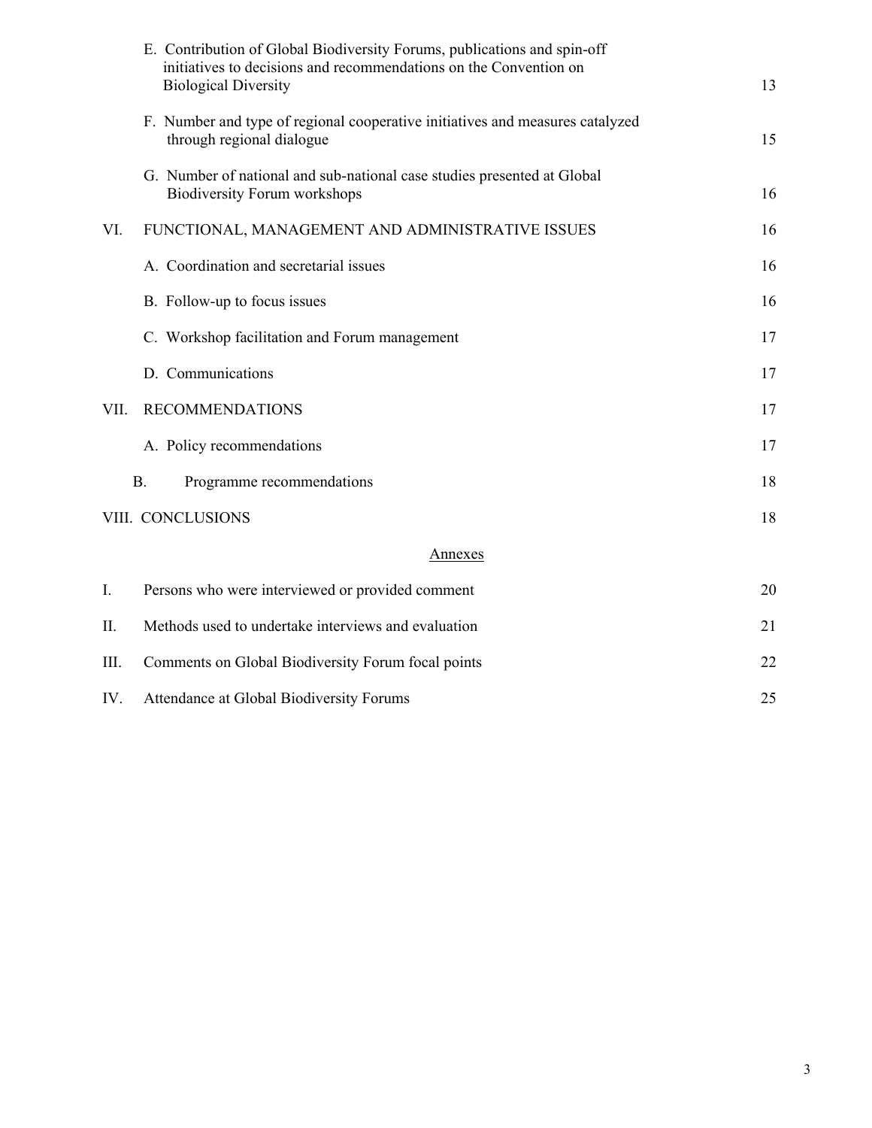|      | E. Contribution of Global Biodiversity Forums, publications and spin-off<br>initiatives to decisions and recommendations on the Convention on<br><b>Biological Diversity</b> | 13 |
|------|------------------------------------------------------------------------------------------------------------------------------------------------------------------------------|----|
|      | F. Number and type of regional cooperative initiatives and measures catalyzed<br>through regional dialogue                                                                   | 15 |
|      | G. Number of national and sub-national case studies presented at Global<br><b>Biodiversity Forum workshops</b>                                                               | 16 |
| VI.  | FUNCTIONAL, MANAGEMENT AND ADMINISTRATIVE ISSUES                                                                                                                             | 16 |
|      | A. Coordination and secretarial issues                                                                                                                                       | 16 |
|      | B. Follow-up to focus issues                                                                                                                                                 | 16 |
|      | C. Workshop facilitation and Forum management                                                                                                                                | 17 |
|      | D. Communications                                                                                                                                                            | 17 |
| VII. | <b>RECOMMENDATIONS</b>                                                                                                                                                       | 17 |
|      | A. Policy recommendations                                                                                                                                                    | 17 |
|      | <b>B.</b><br>Programme recommendations                                                                                                                                       | 18 |
|      | VIII. CONCLUSIONS                                                                                                                                                            | 18 |
|      | <u>Annexes</u>                                                                                                                                                               |    |
| I.   | Persons who were interviewed or provided comment                                                                                                                             | 20 |
| II.  | Methods used to undertake interviews and evaluation                                                                                                                          | 21 |
| III. | Comments on Global Biodiversity Forum focal points                                                                                                                           | 22 |
| IV.  | Attendance at Global Biodiversity Forums                                                                                                                                     | 25 |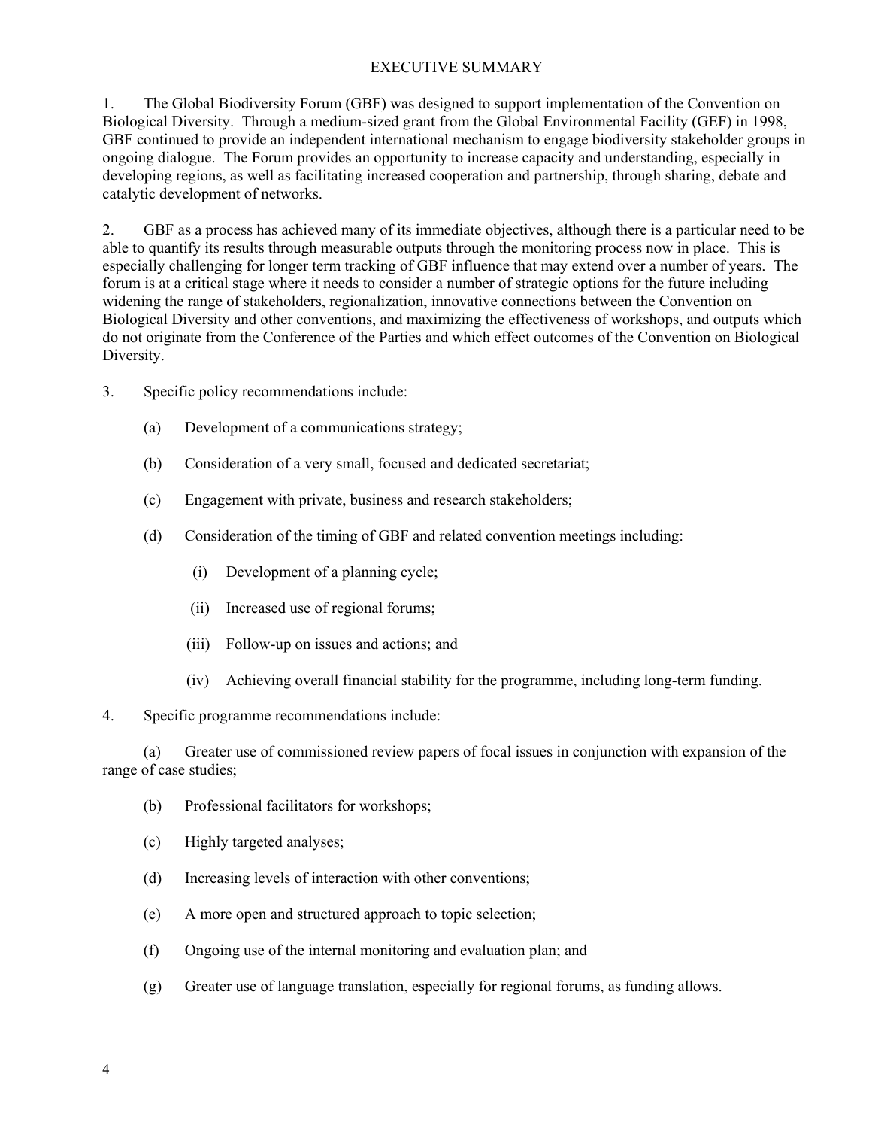### EXECUTIVE SUMMARY

1. The Global Biodiversity Forum (GBF) was designed to support implementation of the Convention on Biological Diversity. Through a medium-sized grant from the Global Environmental Facility (GEF) in 1998, GBF continued to provide an independent international mechanism to engage biodiversity stakeholder groups in ongoing dialogue. The Forum provides an opportunity to increase capacity and understanding, especially in developing regions, as well as facilitating increased cooperation and partnership, through sharing, debate and catalytic development of networks.

2. GBF as a process has achieved many of its immediate objectives, although there is a particular need to be able to quantify its results through measurable outputs through the monitoring process now in place. This is especially challenging for longer term tracking of GBF influence that may extend over a number of years. The forum is at a critical stage where it needs to consider a number of strategic options for the future including widening the range of stakeholders, regionalization, innovative connections between the Convention on Biological Diversity and other conventions, and maximizing the effectiveness of workshops, and outputs which do not originate from the Conference of the Parties and which effect outcomes of the Convention on Biological Diversity.

- 3. Specific policy recommendations include:
	- (a) Development of a communications strategy;
	- (b) Consideration of a very small, focused and dedicated secretariat;
	- (c) Engagement with private, business and research stakeholders;
	- (d) Consideration of the timing of GBF and related convention meetings including:
		- (i) Development of a planning cycle;
		- (ii) Increased use of regional forums;
		- (iii) Follow-up on issues and actions; and
		- (iv) Achieving overall financial stability for the programme, including long-term funding.

#### 4. Specific programme recommendations include:

(a) Greater use of commissioned review papers of focal issues in conjunction with expansion of the range of case studies;

- (b) Professional facilitators for workshops;
- (c) Highly targeted analyses;
- (d) Increasing levels of interaction with other conventions;
- (e) A more open and structured approach to topic selection;
- (f) Ongoing use of the internal monitoring and evaluation plan; and
- (g) Greater use of language translation, especially for regional forums, as funding allows.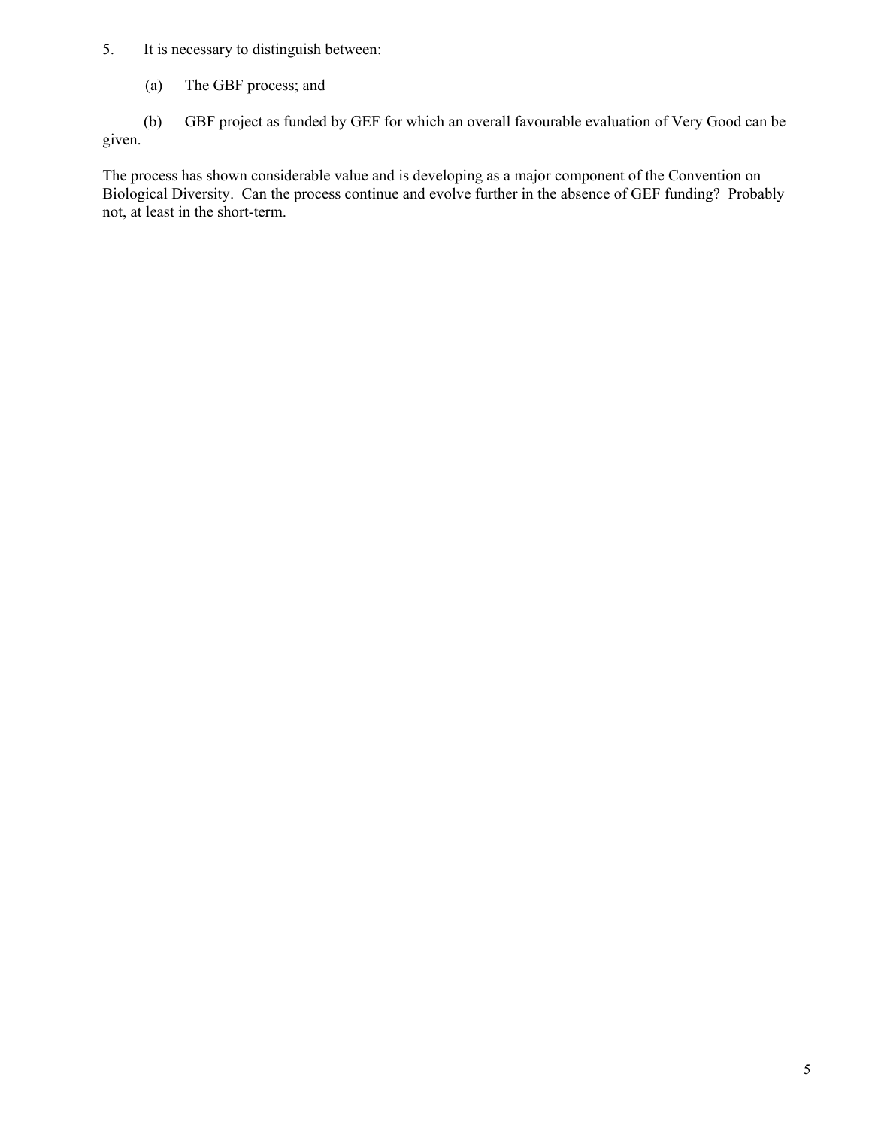# 5. It is necessary to distinguish between:

(a) The GBF process; and

(b) GBF project as funded by GEF for which an overall favourable evaluation of Very Good can be given.

The process has shown considerable value and is developing as a major component of the Convention on Biological Diversity. Can the process continue and evolve further in the absence of GEF funding? Probably not, at least in the short-term.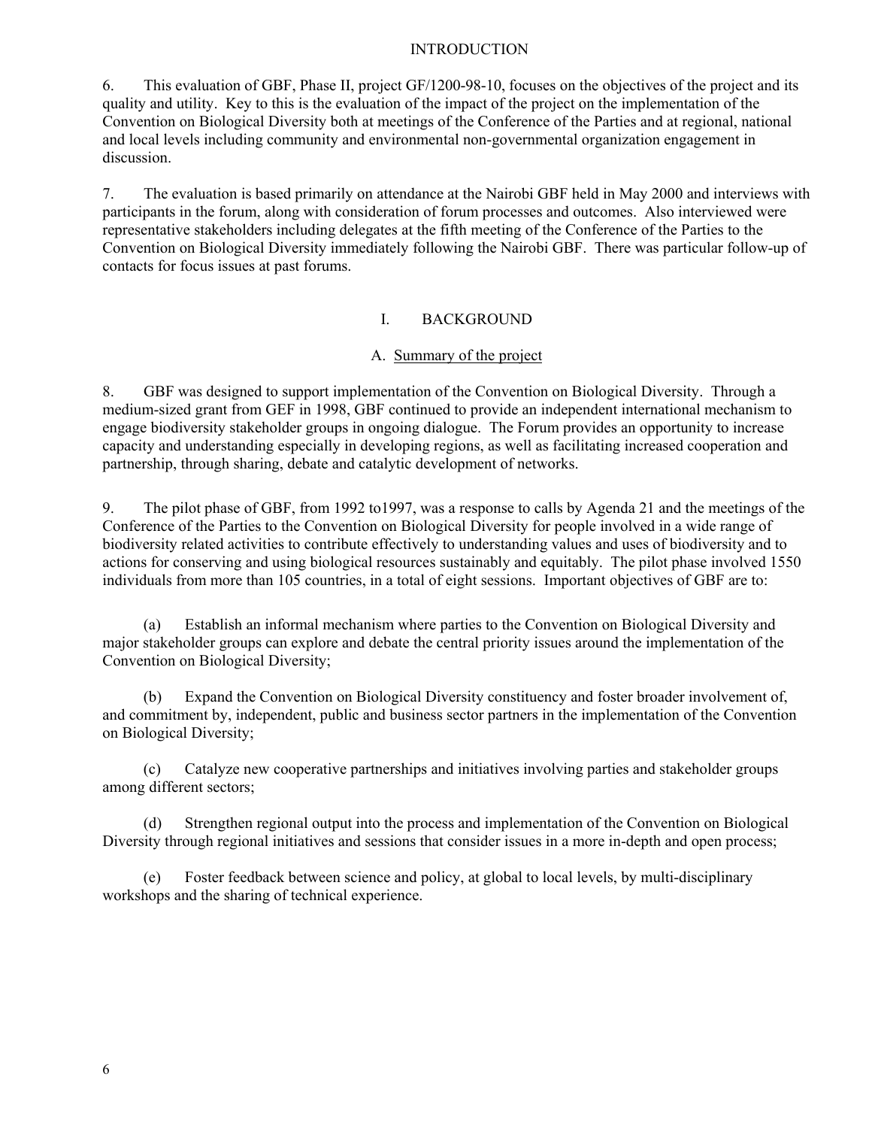#### INTRODUCTION

6. This evaluation of GBF, Phase II, project GF/1200-98-10, focuses on the objectives of the project and its quality and utility. Key to this is the evaluation of the impact of the project on the implementation of the Convention on Biological Diversity both at meetings of the Conference of the Parties and at regional, national and local levels including community and environmental non-governmental organization engagement in discussion.

7. The evaluation is based primarily on attendance at the Nairobi GBF held in May 2000 and interviews with participants in the forum, along with consideration of forum processes and outcomes. Also interviewed were representative stakeholders including delegates at the fifth meeting of the Conference of the Parties to the Convention on Biological Diversity immediately following the Nairobi GBF. There was particular follow-up of contacts for focus issues at past forums.

#### I. BACKGROUND

### A. Summary of the project

8. GBF was designed to support implementation of the Convention on Biological Diversity. Through a medium-sized grant from GEF in 1998, GBF continued to provide an independent international mechanism to engage biodiversity stakeholder groups in ongoing dialogue. The Forum provides an opportunity to increase capacity and understanding especially in developing regions, as well as facilitating increased cooperation and partnership, through sharing, debate and catalytic development of networks.

9. The pilot phase of GBF, from 1992 to1997, was a response to calls by Agenda 21 and the meetings of the Conference of the Parties to the Convention on Biological Diversity for people involved in a wide range of biodiversity related activities to contribute effectively to understanding values and uses of biodiversity and to actions for conserving and using biological resources sustainably and equitably. The pilot phase involved 1550 individuals from more than 105 countries, in a total of eight sessions. Important objectives of GBF are to:

(a) Establish an informal mechanism where parties to the Convention on Biological Diversity and major stakeholder groups can explore and debate the central priority issues around the implementation of the Convention on Biological Diversity;

(b) Expand the Convention on Biological Diversity constituency and foster broader involvement of, and commitment by, independent, public and business sector partners in the implementation of the Convention on Biological Diversity;

(c) Catalyze new cooperative partnerships and initiatives involving parties and stakeholder groups among different sectors;

(d) Strengthen regional output into the process and implementation of the Convention on Biological Diversity through regional initiatives and sessions that consider issues in a more in-depth and open process;

(e) Foster feedback between science and policy, at global to local levels, by multi-disciplinary workshops and the sharing of technical experience.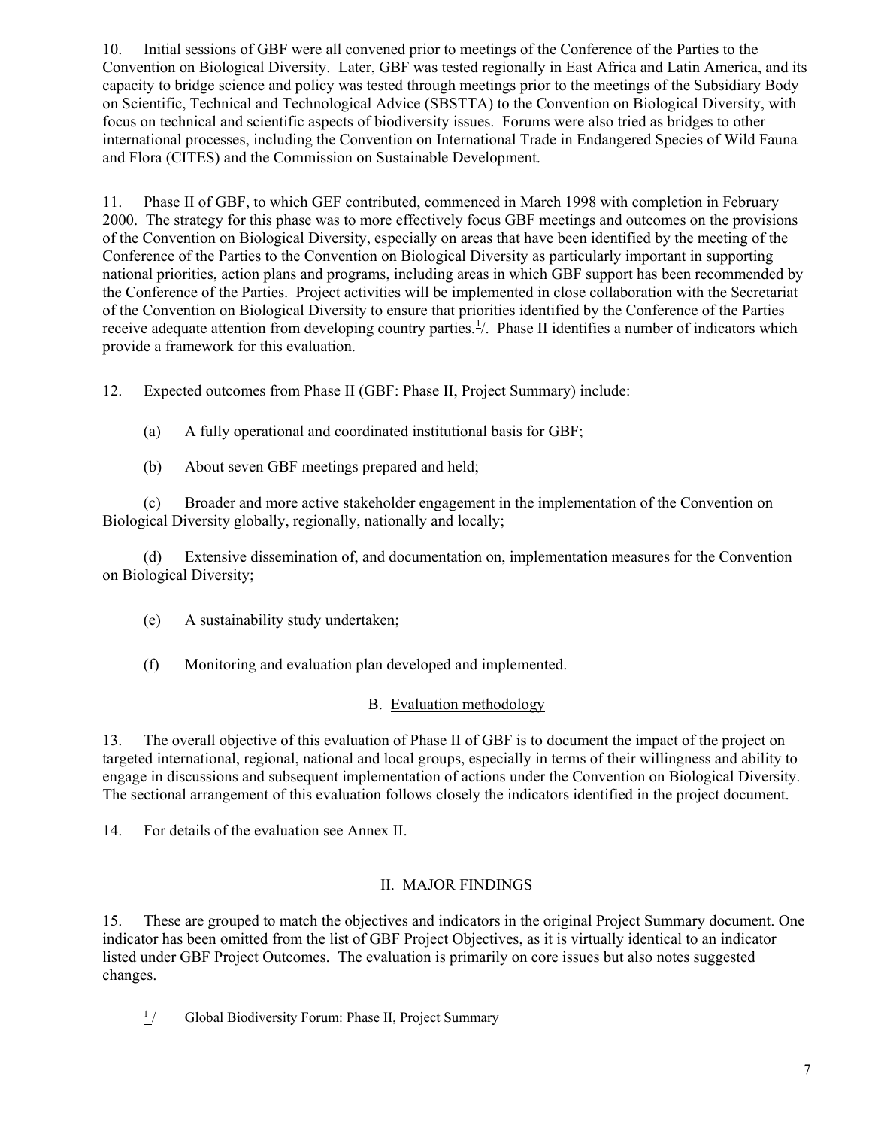10. Initial sessions of GBF were all convened prior to meetings of the Conference of the Parties to the Convention on Biological Diversity. Later, GBF was tested regionally in East Africa and Latin America, and its capacity to bridge science and policy was tested through meetings prior to the meetings of the Subsidiary Body on Scientific, Technical and Technological Advice (SBSTTA) to the Convention on Biological Diversity, with focus on technical and scientific aspects of biodiversity issues. Forums were also tried as bridges to other international processes, including the Convention on International Trade in Endangered Species of Wild Fauna and Flora (CITES) and the Commission on Sustainable Development.

11. Phase II of GBF, to which GEF contributed, commenced in March 1998 with completion in February 2000. The strategy for this phase was to more effectively focus GBF meetings and outcomes on the provisions of the Convention on Biological Diversity, especially on areas that have been identified by the meeting of the Conference of the Parties to the Convention on Biological Diversity as particularly important in supporting national priorities, action plans and programs, including areas in which GBF support has been recommended by the Conference of the Parties. Project activities will be implemented in close collaboration with the Secretariat of the Convention on Biological Diversity to ensure that priorities identified by the Conference of the Parties receive adequate attention from developing country parties. $\frac{1}{1}$  $\frac{1}{1}$  $\frac{1}{1}$ . Phase II identifies a number of indicators which provide a framework for this evaluation.

12. Expected outcomes from Phase II (GBF: Phase II, Project Summary) include:

- (a) A fully operational and coordinated institutional basis for GBF;
- (b) About seven GBF meetings prepared and held;

(c) Broader and more active stakeholder engagement in the implementation of the Convention on Biological Diversity globally, regionally, nationally and locally;

(d) Extensive dissemination of, and documentation on, implementation measures for the Convention on Biological Diversity;

- (e) A sustainability study undertaken;
- (f) Monitoring and evaluation plan developed and implemented.

# B. Evaluation methodology

13. The overall objective of this evaluation of Phase II of GBF is to document the impact of the project on targeted international, regional, national and local groups, especially in terms of their willingness and ability to engage in discussions and subsequent implementation of actions under the Convention on Biological Diversity. The sectional arrangement of this evaluation follows closely the indicators identified in the project document.

14. For details of the evaluation see Annex II.

# II. MAJOR FINDINGS

15. These are grouped to match the objectives and indicators in the original Project Summary document. One indicator has been omitted from the list of GBF Project Objectives, as it is virtually identical to an indicator listed under GBF Project Outcomes. The evaluation is primarily on core issues but also notes suggested changes.

<span id="page-6-0"></span><sup>1&</sup>lt;sup>1</sup>  $\frac{1}{2}$  Global Biodiversity Forum: Phase II, Project Summary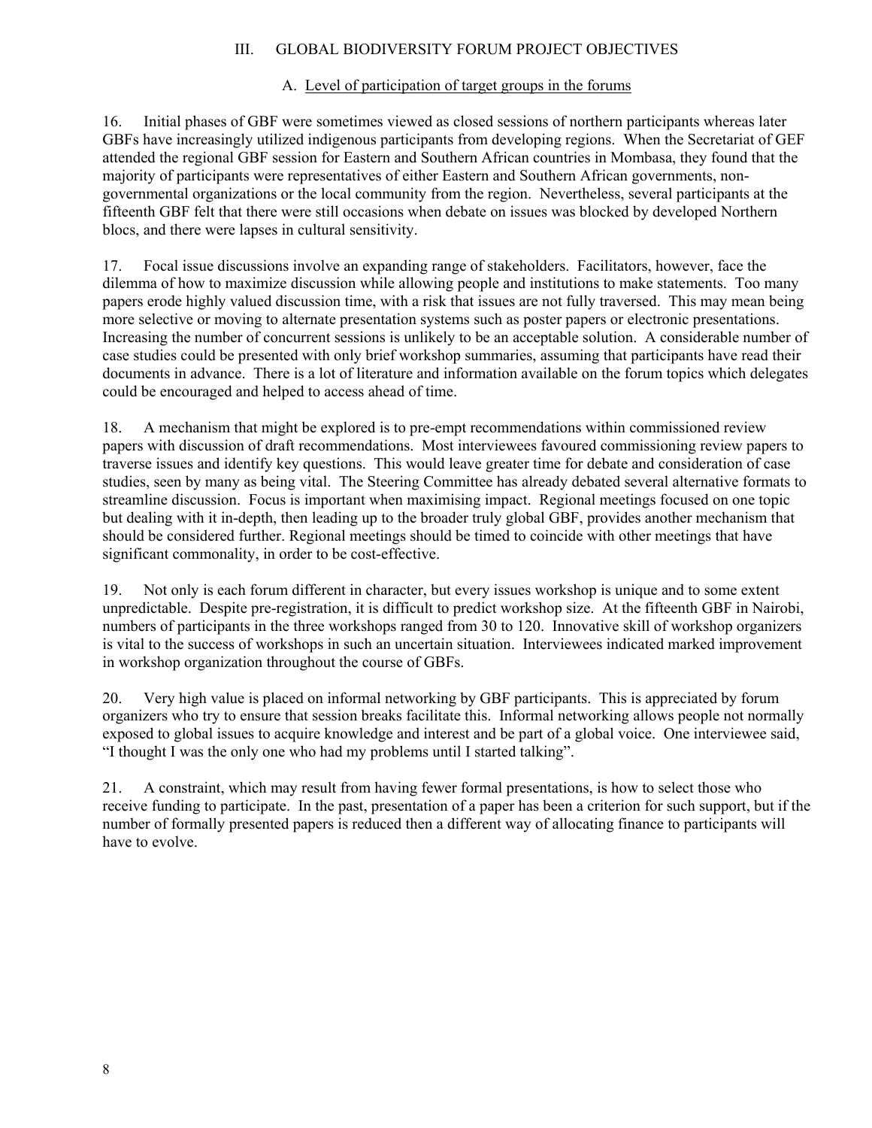#### III. GLOBAL BIODIVERSITY FORUM PROJECT OBJECTIVES

# A. Level of participation of target groups in the forums

16. Initial phases of GBF were sometimes viewed as closed sessions of northern participants whereas later GBFs have increasingly utilized indigenous participants from developing regions. When the Secretariat of GEF attended the regional GBF session for Eastern and Southern African countries in Mombasa, they found that the majority of participants were representatives of either Eastern and Southern African governments, nongovernmental organizations or the local community from the region. Nevertheless, several participants at the fifteenth GBF felt that there were still occasions when debate on issues was blocked by developed Northern blocs, and there were lapses in cultural sensitivity.

17. Focal issue discussions involve an expanding range of stakeholders. Facilitators, however, face the dilemma of how to maximize discussion while allowing people and institutions to make statements. Too many papers erode highly valued discussion time, with a risk that issues are not fully traversed. This may mean being more selective or moving to alternate presentation systems such as poster papers or electronic presentations. Increasing the number of concurrent sessions is unlikely to be an acceptable solution. A considerable number of case studies could be presented with only brief workshop summaries, assuming that participants have read their documents in advance. There is a lot of literature and information available on the forum topics which delegates could be encouraged and helped to access ahead of time.

18. A mechanism that might be explored is to pre-empt recommendations within commissioned review papers with discussion of draft recommendations. Most interviewees favoured commissioning review papers to traverse issues and identify key questions. This would leave greater time for debate and consideration of case studies, seen by many as being vital. The Steering Committee has already debated several alternative formats to streamline discussion. Focus is important when maximising impact. Regional meetings focused on one topic but dealing with it in-depth, then leading up to the broader truly global GBF, provides another mechanism that should be considered further. Regional meetings should be timed to coincide with other meetings that have significant commonality, in order to be cost-effective.

19. Not only is each forum different in character, but every issues workshop is unique and to some extent unpredictable. Despite pre-registration, it is difficult to predict workshop size. At the fifteenth GBF in Nairobi, numbers of participants in the three workshops ranged from 30 to 120. Innovative skill of workshop organizers is vital to the success of workshops in such an uncertain situation. Interviewees indicated marked improvement in workshop organization throughout the course of GBFs.

20. Very high value is placed on informal networking by GBF participants. This is appreciated by forum organizers who try to ensure that session breaks facilitate this. Informal networking allows people not normally exposed to global issues to acquire knowledge and interest and be part of a global voice. One interviewee said, "I thought I was the only one who had my problems until I started talking".

21. A constraint, which may result from having fewer formal presentations, is how to select those who receive funding to participate. In the past, presentation of a paper has been a criterion for such support, but if the number of formally presented papers is reduced then a different way of allocating finance to participants will have to evolve.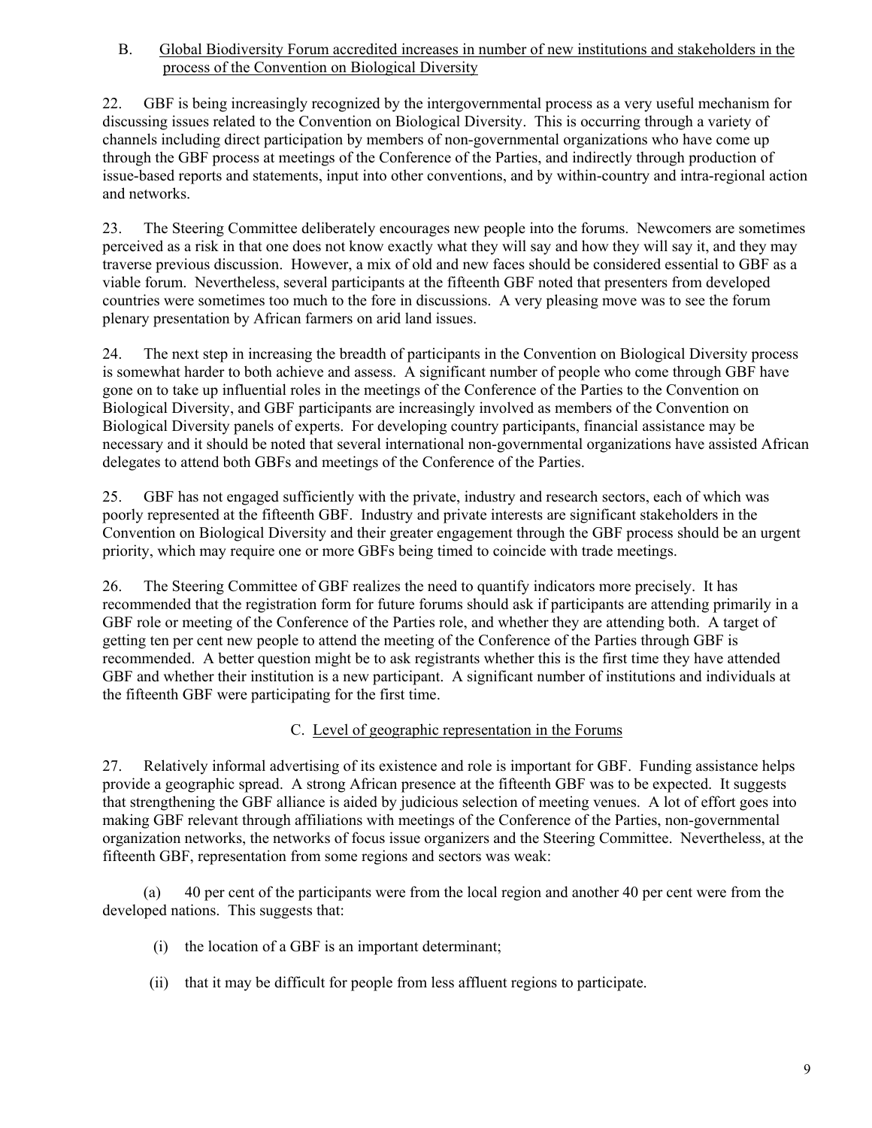B. Global Biodiversity Forum accredited increases in number of new institutions and stakeholders in the process of the Convention on Biological Diversity

22. GBF is being increasingly recognized by the intergovernmental process as a very useful mechanism for discussing issues related to the Convention on Biological Diversity. This is occurring through a variety of channels including direct participation by members of non-governmental organizations who have come up through the GBF process at meetings of the Conference of the Parties, and indirectly through production of issue-based reports and statements, input into other conventions, and by within-country and intra-regional action and networks.

23. The Steering Committee deliberately encourages new people into the forums. Newcomers are sometimes perceived as a risk in that one does not know exactly what they will say and how they will say it, and they may traverse previous discussion. However, a mix of old and new faces should be considered essential to GBF as a viable forum. Nevertheless, several participants at the fifteenth GBF noted that presenters from developed countries were sometimes too much to the fore in discussions. A very pleasing move was to see the forum plenary presentation by African farmers on arid land issues.

24. The next step in increasing the breadth of participants in the Convention on Biological Diversity process is somewhat harder to both achieve and assess. A significant number of people who come through GBF have gone on to take up influential roles in the meetings of the Conference of the Parties to the Convention on Biological Diversity, and GBF participants are increasingly involved as members of the Convention on Biological Diversity panels of experts. For developing country participants, financial assistance may be necessary and it should be noted that several international non-governmental organizations have assisted African delegates to attend both GBFs and meetings of the Conference of the Parties.

25. GBF has not engaged sufficiently with the private, industry and research sectors, each of which was poorly represented at the fifteenth GBF. Industry and private interests are significant stakeholders in the Convention on Biological Diversity and their greater engagement through the GBF process should be an urgent priority, which may require one or more GBFs being timed to coincide with trade meetings.

26. The Steering Committee of GBF realizes the need to quantify indicators more precisely. It has recommended that the registration form for future forums should ask if participants are attending primarily in a GBF role or meeting of the Conference of the Parties role, and whether they are attending both. A target of getting ten per cent new people to attend the meeting of the Conference of the Parties through GBF is recommended. A better question might be to ask registrants whether this is the first time they have attended GBF and whether their institution is a new participant. A significant number of institutions and individuals at the fifteenth GBF were participating for the first time.

# C. Level of geographic representation in the Forums

27. Relatively informal advertising of its existence and role is important for GBF. Funding assistance helps provide a geographic spread. A strong African presence at the fifteenth GBF was to be expected. It suggests that strengthening the GBF alliance is aided by judicious selection of meeting venues. A lot of effort goes into making GBF relevant through affiliations with meetings of the Conference of the Parties, non-governmental organization networks, the networks of focus issue organizers and the Steering Committee. Nevertheless, at the fifteenth GBF, representation from some regions and sectors was weak:

(a) 40 per cent of the participants were from the local region and another 40 per cent were from the developed nations. This suggests that:

- (i) the location of a GBF is an important determinant;
- (ii) that it may be difficult for people from less affluent regions to participate.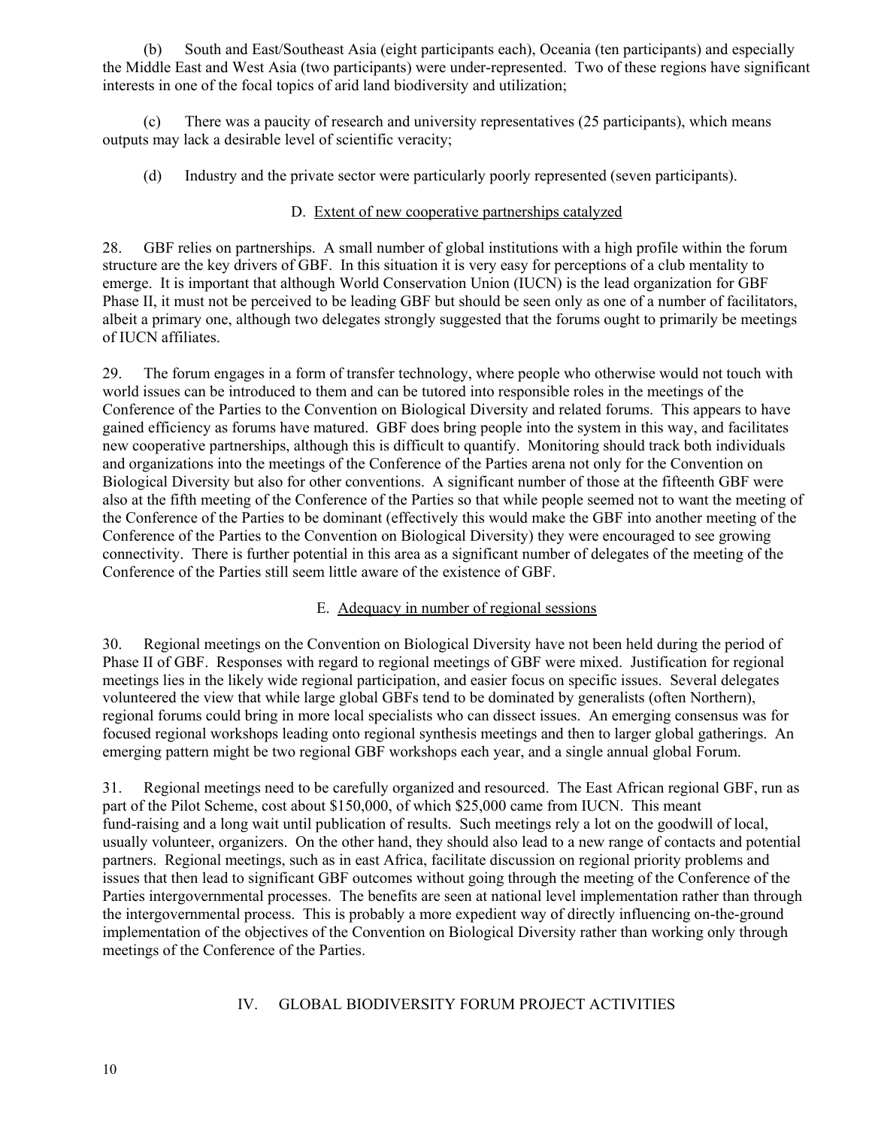(b) South and East/Southeast Asia (eight participants each), Oceania (ten participants) and especially the Middle East and West Asia (two participants) were under-represented. Two of these regions have significant interests in one of the focal topics of arid land biodiversity and utilization;

(c) There was a paucity of research and university representatives (25 participants), which means outputs may lack a desirable level of scientific veracity;

(d) Industry and the private sector were particularly poorly represented (seven participants).

### D. Extent of new cooperative partnerships catalyzed

28. GBF relies on partnerships. A small number of global institutions with a high profile within the forum structure are the key drivers of GBF. In this situation it is very easy for perceptions of a club mentality to emerge. It is important that although World Conservation Union (IUCN) is the lead organization for GBF Phase II, it must not be perceived to be leading GBF but should be seen only as one of a number of facilitators, albeit a primary one, although two delegates strongly suggested that the forums ought to primarily be meetings of IUCN affiliates.

29. The forum engages in a form of transfer technology, where people who otherwise would not touch with world issues can be introduced to them and can be tutored into responsible roles in the meetings of the Conference of the Parties to the Convention on Biological Diversity and related forums. This appears to have gained efficiency as forums have matured. GBF does bring people into the system in this way, and facilitates new cooperative partnerships, although this is difficult to quantify. Monitoring should track both individuals and organizations into the meetings of the Conference of the Parties arena not only for the Convention on Biological Diversity but also for other conventions. A significant number of those at the fifteenth GBF were also at the fifth meeting of the Conference of the Parties so that while people seemed not to want the meeting of the Conference of the Parties to be dominant (effectively this would make the GBF into another meeting of the Conference of the Parties to the Convention on Biological Diversity) they were encouraged to see growing connectivity. There is further potential in this area as a significant number of delegates of the meeting of the Conference of the Parties still seem little aware of the existence of GBF.

#### E. Adequacy in number of regional sessions

30. Regional meetings on the Convention on Biological Diversity have not been held during the period of Phase II of GBF. Responses with regard to regional meetings of GBF were mixed. Justification for regional meetings lies in the likely wide regional participation, and easier focus on specific issues. Several delegates volunteered the view that while large global GBFs tend to be dominated by generalists (often Northern), regional forums could bring in more local specialists who can dissect issues. An emerging consensus was for focused regional workshops leading onto regional synthesis meetings and then to larger global gatherings. An emerging pattern might be two regional GBF workshops each year, and a single annual global Forum.

31. Regional meetings need to be carefully organized and resourced. The East African regional GBF, run as part of the Pilot Scheme, cost about \$150,000, of which \$25,000 came from IUCN. This meant fund-raising and a long wait until publication of results. Such meetings rely a lot on the goodwill of local, usually volunteer, organizers. On the other hand, they should also lead to a new range of contacts and potential partners. Regional meetings, such as in east Africa, facilitate discussion on regional priority problems and issues that then lead to significant GBF outcomes without going through the meeting of the Conference of the Parties intergovernmental processes. The benefits are seen at national level implementation rather than through the intergovernmental process. This is probably a more expedient way of directly influencing on-the-ground implementation of the objectives of the Convention on Biological Diversity rather than working only through meetings of the Conference of the Parties.

# IV. GLOBAL BIODIVERSITY FORUM PROJECT ACTIVITIES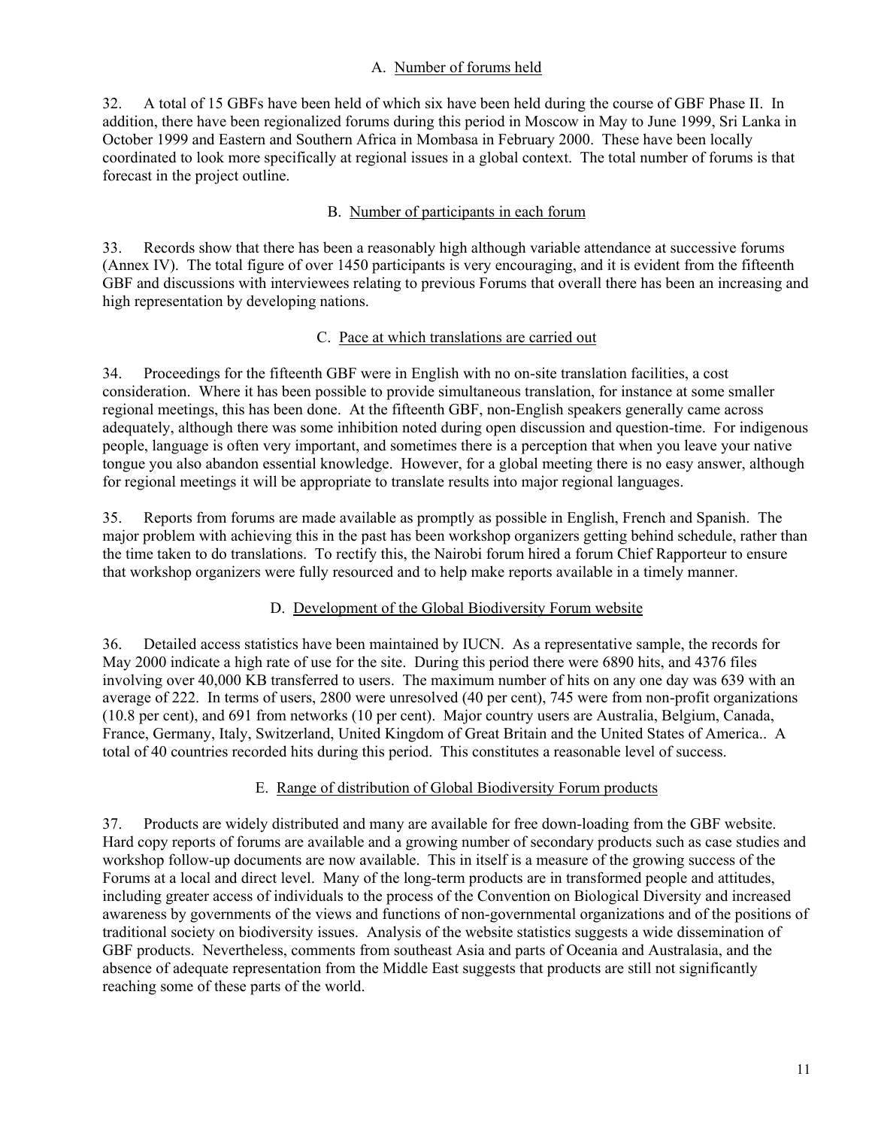#### A. Number of forums held

32. A total of 15 GBFs have been held of which six have been held during the course of GBF Phase II. In addition, there have been regionalized forums during this period in Moscow in May to June 1999, Sri Lanka in October 1999 and Eastern and Southern Africa in Mombasa in February 2000. These have been locally coordinated to look more specifically at regional issues in a global context. The total number of forums is that forecast in the project outline.

### B. Number of participants in each forum

33. Records show that there has been a reasonably high although variable attendance at successive forums (Annex IV). The total figure of over 1450 participants is very encouraging, and it is evident from the fifteenth GBF and discussions with interviewees relating to previous Forums that overall there has been an increasing and high representation by developing nations.

#### C. Pace at which translations are carried out

34. Proceedings for the fifteenth GBF were in English with no on-site translation facilities, a cost consideration. Where it has been possible to provide simultaneous translation, for instance at some smaller regional meetings, this has been done. At the fifteenth GBF, non-English speakers generally came across adequately, although there was some inhibition noted during open discussion and question-time. For indigenous people, language is often very important, and sometimes there is a perception that when you leave your native tongue you also abandon essential knowledge. However, for a global meeting there is no easy answer, although for regional meetings it will be appropriate to translate results into major regional languages.

35. Reports from forums are made available as promptly as possible in English, French and Spanish. The major problem with achieving this in the past has been workshop organizers getting behind schedule, rather than the time taken to do translations. To rectify this, the Nairobi forum hired a forum Chief Rapporteur to ensure that workshop organizers were fully resourced and to help make reports available in a timely manner.

# D. Development of the Global Biodiversity Forum website

36. Detailed access statistics have been maintained by IUCN. As a representative sample, the records for May 2000 indicate a high rate of use for the site. During this period there were 6890 hits, and 4376 files involving over 40,000 KB transferred to users. The maximum number of hits on any one day was 639 with an average of 222. In terms of users, 2800 were unresolved (40 per cent), 745 were from non-profit organizations (10.8 per cent), and 691 from networks (10 per cent). Major country users are Australia, Belgium, Canada, France, Germany, Italy, Switzerland, United Kingdom of Great Britain and the United States of America.. A total of 40 countries recorded hits during this period. This constitutes a reasonable level of success.

#### E. Range of distribution of Global Biodiversity Forum products

37. Products are widely distributed and many are available for free down-loading from the GBF website. Hard copy reports of forums are available and a growing number of secondary products such as case studies and workshop follow-up documents are now available. This in itself is a measure of the growing success of the Forums at a local and direct level. Many of the long-term products are in transformed people and attitudes, including greater access of individuals to the process of the Convention on Biological Diversity and increased awareness by governments of the views and functions of non-governmental organizations and of the positions of traditional society on biodiversity issues. Analysis of the website statistics suggests a wide dissemination of GBF products. Nevertheless, comments from southeast Asia and parts of Oceania and Australasia, and the absence of adequate representation from the Middle East suggests that products are still not significantly reaching some of these parts of the world.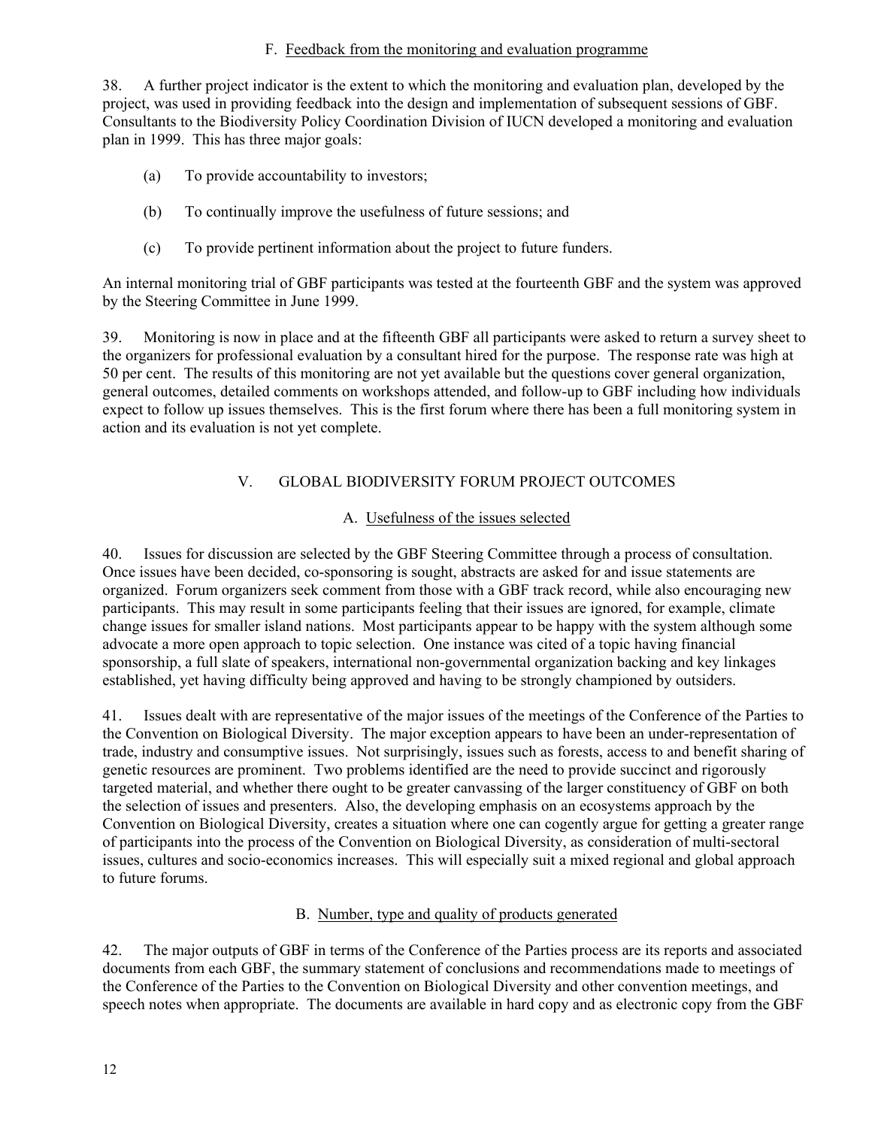#### F. Feedback from the monitoring and evaluation programme

38. A further project indicator is the extent to which the monitoring and evaluation plan, developed by the project, was used in providing feedback into the design and implementation of subsequent sessions of GBF. Consultants to the Biodiversity Policy Coordination Division of IUCN developed a monitoring and evaluation plan in 1999. This has three major goals:

- (a) To provide accountability to investors;
- (b) To continually improve the usefulness of future sessions; and
- (c) To provide pertinent information about the project to future funders.

An internal monitoring trial of GBF participants was tested at the fourteenth GBF and the system was approved by the Steering Committee in June 1999.

39. Monitoring is now in place and at the fifteenth GBF all participants were asked to return a survey sheet to the organizers for professional evaluation by a consultant hired for the purpose. The response rate was high at 50 per cent. The results of this monitoring are not yet available but the questions cover general organization, general outcomes, detailed comments on workshops attended, and follow-up to GBF including how individuals expect to follow up issues themselves. This is the first forum where there has been a full monitoring system in action and its evaluation is not yet complete.

# V. GLOBAL BIODIVERSITY FORUM PROJECT OUTCOMES

#### A. Usefulness of the issues selected

40. Issues for discussion are selected by the GBF Steering Committee through a process of consultation. Once issues have been decided, co-sponsoring is sought, abstracts are asked for and issue statements are organized. Forum organizers seek comment from those with a GBF track record, while also encouraging new participants. This may result in some participants feeling that their issues are ignored, for example, climate change issues for smaller island nations. Most participants appear to be happy with the system although some advocate a more open approach to topic selection. One instance was cited of a topic having financial sponsorship, a full slate of speakers, international non-governmental organization backing and key linkages established, yet having difficulty being approved and having to be strongly championed by outsiders.

41. Issues dealt with are representative of the major issues of the meetings of the Conference of the Parties to the Convention on Biological Diversity. The major exception appears to have been an under-representation of trade, industry and consumptive issues. Not surprisingly, issues such as forests, access to and benefit sharing of genetic resources are prominent. Two problems identified are the need to provide succinct and rigorously targeted material, and whether there ought to be greater canvassing of the larger constituency of GBF on both the selection of issues and presenters. Also, the developing emphasis on an ecosystems approach by the Convention on Biological Diversity, creates a situation where one can cogently argue for getting a greater range of participants into the process of the Convention on Biological Diversity, as consideration of multi-sectoral issues, cultures and socio-economics increases. This will especially suit a mixed regional and global approach to future forums.

# B. Number, type and quality of products generated

42. The major outputs of GBF in terms of the Conference of the Parties process are its reports and associated documents from each GBF, the summary statement of conclusions and recommendations made to meetings of the Conference of the Parties to the Convention on Biological Diversity and other convention meetings, and speech notes when appropriate. The documents are available in hard copy and as electronic copy from the GBF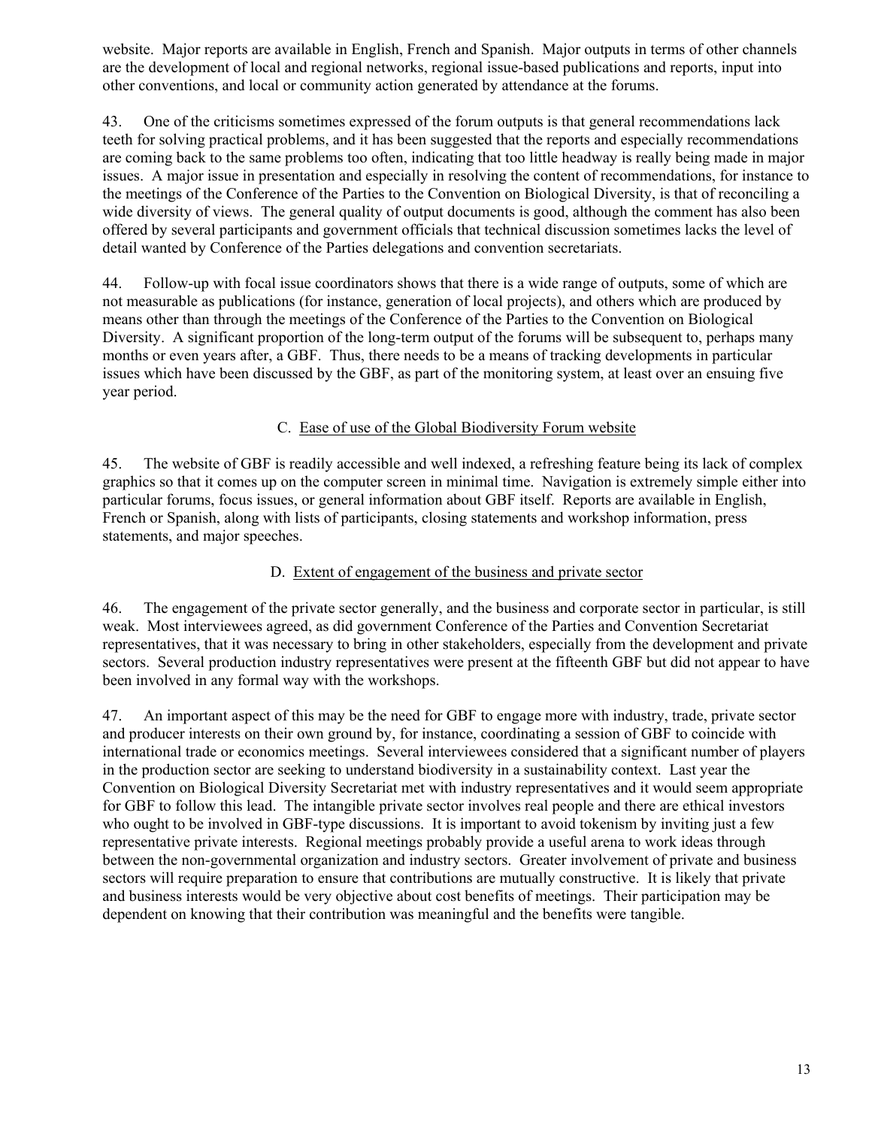website. Major reports are available in English, French and Spanish. Major outputs in terms of other channels are the development of local and regional networks, regional issue-based publications and reports, input into other conventions, and local or community action generated by attendance at the forums.

43. One of the criticisms sometimes expressed of the forum outputs is that general recommendations lack teeth for solving practical problems, and it has been suggested that the reports and especially recommendations are coming back to the same problems too often, indicating that too little headway is really being made in major issues. A major issue in presentation and especially in resolving the content of recommendations, for instance to the meetings of the Conference of the Parties to the Convention on Biological Diversity, is that of reconciling a wide diversity of views. The general quality of output documents is good, although the comment has also been offered by several participants and government officials that technical discussion sometimes lacks the level of detail wanted by Conference of the Parties delegations and convention secretariats.

44. Follow-up with focal issue coordinators shows that there is a wide range of outputs, some of which are not measurable as publications (for instance, generation of local projects), and others which are produced by means other than through the meetings of the Conference of the Parties to the Convention on Biological Diversity. A significant proportion of the long-term output of the forums will be subsequent to, perhaps many months or even years after, a GBF. Thus, there needs to be a means of tracking developments in particular issues which have been discussed by the GBF, as part of the monitoring system, at least over an ensuing five year period.

# C. Ease of use of the Global Biodiversity Forum website

45. The website of GBF is readily accessible and well indexed, a refreshing feature being its lack of complex graphics so that it comes up on the computer screen in minimal time. Navigation is extremely simple either into particular forums, focus issues, or general information about GBF itself. Reports are available in English, French or Spanish, along with lists of participants, closing statements and workshop information, press statements, and major speeches.

### D. Extent of engagement of the business and private sector

46. The engagement of the private sector generally, and the business and corporate sector in particular, is still weak. Most interviewees agreed, as did government Conference of the Parties and Convention Secretariat representatives, that it was necessary to bring in other stakeholders, especially from the development and private sectors. Several production industry representatives were present at the fifteenth GBF but did not appear to have been involved in any formal way with the workshops.

47. An important aspect of this may be the need for GBF to engage more with industry, trade, private sector and producer interests on their own ground by, for instance, coordinating a session of GBF to coincide with international trade or economics meetings. Several interviewees considered that a significant number of players in the production sector are seeking to understand biodiversity in a sustainability context. Last year the Convention on Biological Diversity Secretariat met with industry representatives and it would seem appropriate for GBF to follow this lead. The intangible private sector involves real people and there are ethical investors who ought to be involved in GBF-type discussions. It is important to avoid tokenism by inviting just a few representative private interests. Regional meetings probably provide a useful arena to work ideas through between the non-governmental organization and industry sectors. Greater involvement of private and business sectors will require preparation to ensure that contributions are mutually constructive. It is likely that private and business interests would be very objective about cost benefits of meetings. Their participation may be dependent on knowing that their contribution was meaningful and the benefits were tangible.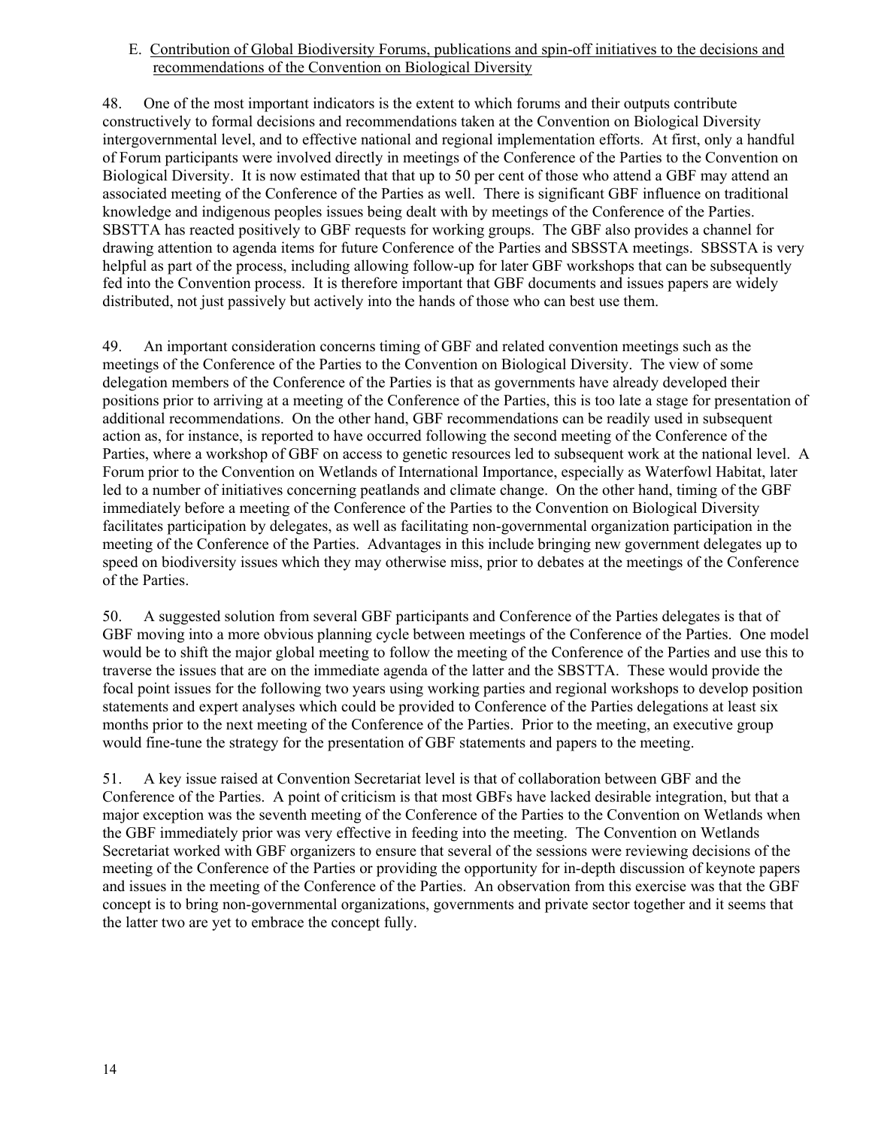E. Contribution of Global Biodiversity Forums, publications and spin-off initiatives to the decisions and recommendations of the Convention on Biological Diversity

48. One of the most important indicators is the extent to which forums and their outputs contribute constructively to formal decisions and recommendations taken at the Convention on Biological Diversity intergovernmental level, and to effective national and regional implementation efforts. At first, only a handful of Forum participants were involved directly in meetings of the Conference of the Parties to the Convention on Biological Diversity. It is now estimated that that up to 50 per cent of those who attend a GBF may attend an associated meeting of the Conference of the Parties as well. There is significant GBF influence on traditional knowledge and indigenous peoples issues being dealt with by meetings of the Conference of the Parties. SBSTTA has reacted positively to GBF requests for working groups. The GBF also provides a channel for drawing attention to agenda items for future Conference of the Parties and SBSSTA meetings. SBSSTA is very helpful as part of the process, including allowing follow-up for later GBF workshops that can be subsequently fed into the Convention process. It is therefore important that GBF documents and issues papers are widely distributed, not just passively but actively into the hands of those who can best use them.

49. An important consideration concerns timing of GBF and related convention meetings such as the meetings of the Conference of the Parties to the Convention on Biological Diversity. The view of some delegation members of the Conference of the Parties is that as governments have already developed their positions prior to arriving at a meeting of the Conference of the Parties, this is too late a stage for presentation of additional recommendations. On the other hand, GBF recommendations can be readily used in subsequent action as, for instance, is reported to have occurred following the second meeting of the Conference of the Parties, where a workshop of GBF on access to genetic resources led to subsequent work at the national level. A Forum prior to the Convention on Wetlands of International Importance, especially as Waterfowl Habitat, later led to a number of initiatives concerning peatlands and climate change. On the other hand, timing of the GBF immediately before a meeting of the Conference of the Parties to the Convention on Biological Diversity facilitates participation by delegates, as well as facilitating non-governmental organization participation in the meeting of the Conference of the Parties. Advantages in this include bringing new government delegates up to speed on biodiversity issues which they may otherwise miss, prior to debates at the meetings of the Conference of the Parties.

50. A suggested solution from several GBF participants and Conference of the Parties delegates is that of GBF moving into a more obvious planning cycle between meetings of the Conference of the Parties. One model would be to shift the major global meeting to follow the meeting of the Conference of the Parties and use this to traverse the issues that are on the immediate agenda of the latter and the SBSTTA. These would provide the focal point issues for the following two years using working parties and regional workshops to develop position statements and expert analyses which could be provided to Conference of the Parties delegations at least six months prior to the next meeting of the Conference of the Parties. Prior to the meeting, an executive group would fine-tune the strategy for the presentation of GBF statements and papers to the meeting.

51. A key issue raised at Convention Secretariat level is that of collaboration between GBF and the Conference of the Parties. A point of criticism is that most GBFs have lacked desirable integration, but that a major exception was the seventh meeting of the Conference of the Parties to the Convention on Wetlands when the GBF immediately prior was very effective in feeding into the meeting. The Convention on Wetlands Secretariat worked with GBF organizers to ensure that several of the sessions were reviewing decisions of the meeting of the Conference of the Parties or providing the opportunity for in-depth discussion of keynote papers and issues in the meeting of the Conference of the Parties. An observation from this exercise was that the GBF concept is to bring non-governmental organizations, governments and private sector together and it seems that the latter two are yet to embrace the concept fully.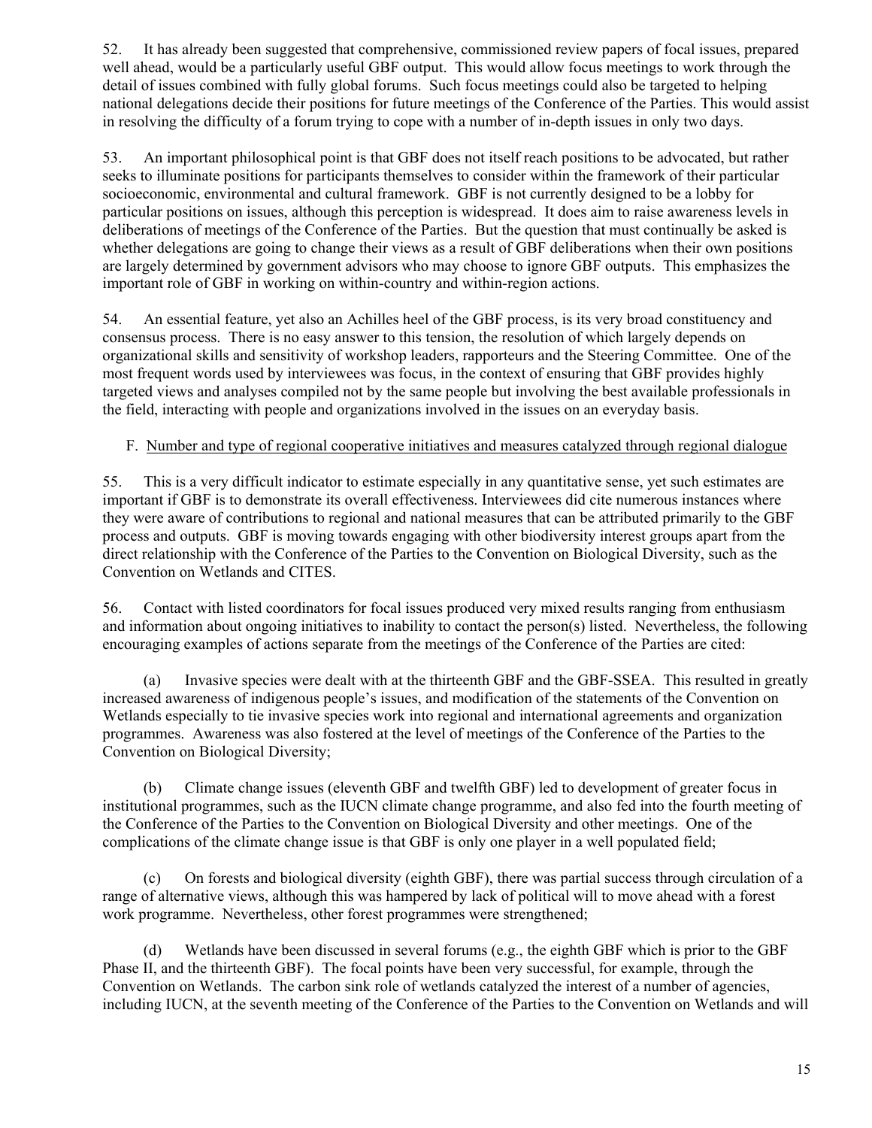52. It has already been suggested that comprehensive, commissioned review papers of focal issues, prepared well ahead, would be a particularly useful GBF output. This would allow focus meetings to work through the detail of issues combined with fully global forums. Such focus meetings could also be targeted to helping national delegations decide their positions for future meetings of the Conference of the Parties. This would assist in resolving the difficulty of a forum trying to cope with a number of in-depth issues in only two days.

53. An important philosophical point is that GBF does not itself reach positions to be advocated, but rather seeks to illuminate positions for participants themselves to consider within the framework of their particular socioeconomic, environmental and cultural framework. GBF is not currently designed to be a lobby for particular positions on issues, although this perception is widespread. It does aim to raise awareness levels in deliberations of meetings of the Conference of the Parties. But the question that must continually be asked is whether delegations are going to change their views as a result of GBF deliberations when their own positions are largely determined by government advisors who may choose to ignore GBF outputs. This emphasizes the important role of GBF in working on within-country and within-region actions.

54. An essential feature, yet also an Achilles heel of the GBF process, is its very broad constituency and consensus process. There is no easy answer to this tension, the resolution of which largely depends on organizational skills and sensitivity of workshop leaders, rapporteurs and the Steering Committee. One of the most frequent words used by interviewees was focus, in the context of ensuring that GBF provides highly targeted views and analyses compiled not by the same people but involving the best available professionals in the field, interacting with people and organizations involved in the issues on an everyday basis.

# F. Number and type of regional cooperative initiatives and measures catalyzed through regional dialogue

55. This is a very difficult indicator to estimate especially in any quantitative sense, yet such estimates are important if GBF is to demonstrate its overall effectiveness. Interviewees did cite numerous instances where they were aware of contributions to regional and national measures that can be attributed primarily to the GBF process and outputs. GBF is moving towards engaging with other biodiversity interest groups apart from the direct relationship with the Conference of the Parties to the Convention on Biological Diversity, such as the Convention on Wetlands and CITES.

56. Contact with listed coordinators for focal issues produced very mixed results ranging from enthusiasm and information about ongoing initiatives to inability to contact the person(s) listed. Nevertheless, the following encouraging examples of actions separate from the meetings of the Conference of the Parties are cited:

(a) Invasive species were dealt with at the thirteenth GBF and the GBF-SSEA. This resulted in greatly increased awareness of indigenous people's issues, and modification of the statements of the Convention on Wetlands especially to tie invasive species work into regional and international agreements and organization programmes. Awareness was also fostered at the level of meetings of the Conference of the Parties to the Convention on Biological Diversity;

(b) Climate change issues (eleventh GBF and twelfth GBF) led to development of greater focus in institutional programmes, such as the IUCN climate change programme, and also fed into the fourth meeting of the Conference of the Parties to the Convention on Biological Diversity and other meetings. One of the complications of the climate change issue is that GBF is only one player in a well populated field;

(c) On forests and biological diversity (eighth GBF), there was partial success through circulation of a range of alternative views, although this was hampered by lack of political will to move ahead with a forest work programme. Nevertheless, other forest programmes were strengthened;

(d) Wetlands have been discussed in several forums (e.g., the eighth GBF which is prior to the GBF Phase II, and the thirteenth GBF). The focal points have been very successful, for example, through the Convention on Wetlands. The carbon sink role of wetlands catalyzed the interest of a number of agencies, including IUCN, at the seventh meeting of the Conference of the Parties to the Convention on Wetlands and will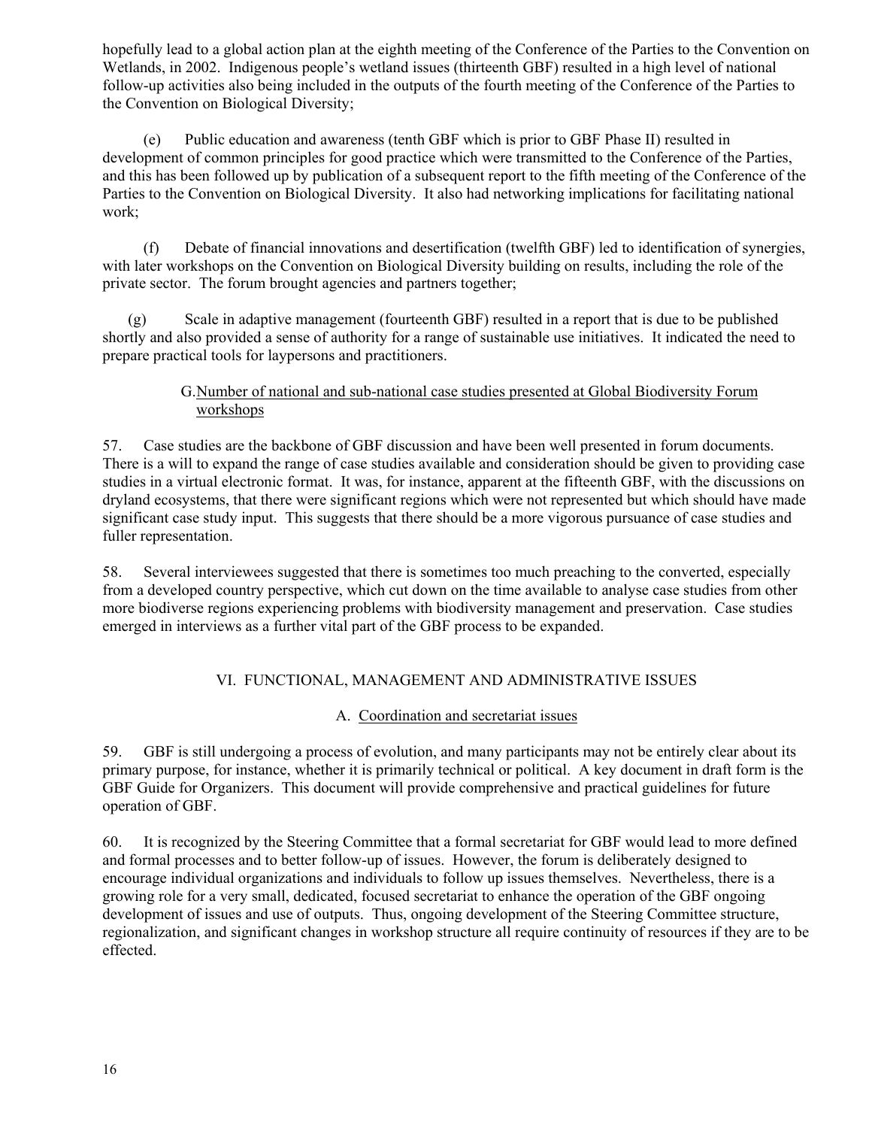hopefully lead to a global action plan at the eighth meeting of the Conference of the Parties to the Convention on Wetlands, in 2002. Indigenous people's wetland issues (thirteenth GBF) resulted in a high level of national follow-up activities also being included in the outputs of the fourth meeting of the Conference of the Parties to the Convention on Biological Diversity;

(e) Public education and awareness (tenth GBF which is prior to GBF Phase II) resulted in development of common principles for good practice which were transmitted to the Conference of the Parties, and this has been followed up by publication of a subsequent report to the fifth meeting of the Conference of the Parties to the Convention on Biological Diversity. It also had networking implications for facilitating national work;

(f) Debate of financial innovations and desertification (twelfth GBF) led to identification of synergies, with later workshops on the Convention on Biological Diversity building on results, including the role of the private sector. The forum brought agencies and partners together;

(g) Scale in adaptive management (fourteenth GBF) resulted in a report that is due to be published shortly and also provided a sense of authority for a range of sustainable use initiatives. It indicated the need to prepare practical tools for laypersons and practitioners.

### G.Number of national and sub-national case studies presented at Global Biodiversity Forum workshops

57. Case studies are the backbone of GBF discussion and have been well presented in forum documents. There is a will to expand the range of case studies available and consideration should be given to providing case studies in a virtual electronic format. It was, for instance, apparent at the fifteenth GBF, with the discussions on dryland ecosystems, that there were significant regions which were not represented but which should have made significant case study input. This suggests that there should be a more vigorous pursuance of case studies and fuller representation.

58. Several interviewees suggested that there is sometimes too much preaching to the converted, especially from a developed country perspective, which cut down on the time available to analyse case studies from other more biodiverse regions experiencing problems with biodiversity management and preservation. Case studies emerged in interviews as a further vital part of the GBF process to be expanded.

# VI. FUNCTIONAL, MANAGEMENT AND ADMINISTRATIVE ISSUES

# A. Coordination and secretariat issues

59. GBF is still undergoing a process of evolution, and many participants may not be entirely clear about its primary purpose, for instance, whether it is primarily technical or political. A key document in draft form is the GBF Guide for Organizers. This document will provide comprehensive and practical guidelines for future operation of GBF.

60. It is recognized by the Steering Committee that a formal secretariat for GBF would lead to more defined and formal processes and to better follow-up of issues. However, the forum is deliberately designed to encourage individual organizations and individuals to follow up issues themselves. Nevertheless, there is a growing role for a very small, dedicated, focused secretariat to enhance the operation of the GBF ongoing development of issues and use of outputs. Thus, ongoing development of the Steering Committee structure, regionalization, and significant changes in workshop structure all require continuity of resources if they are to be effected.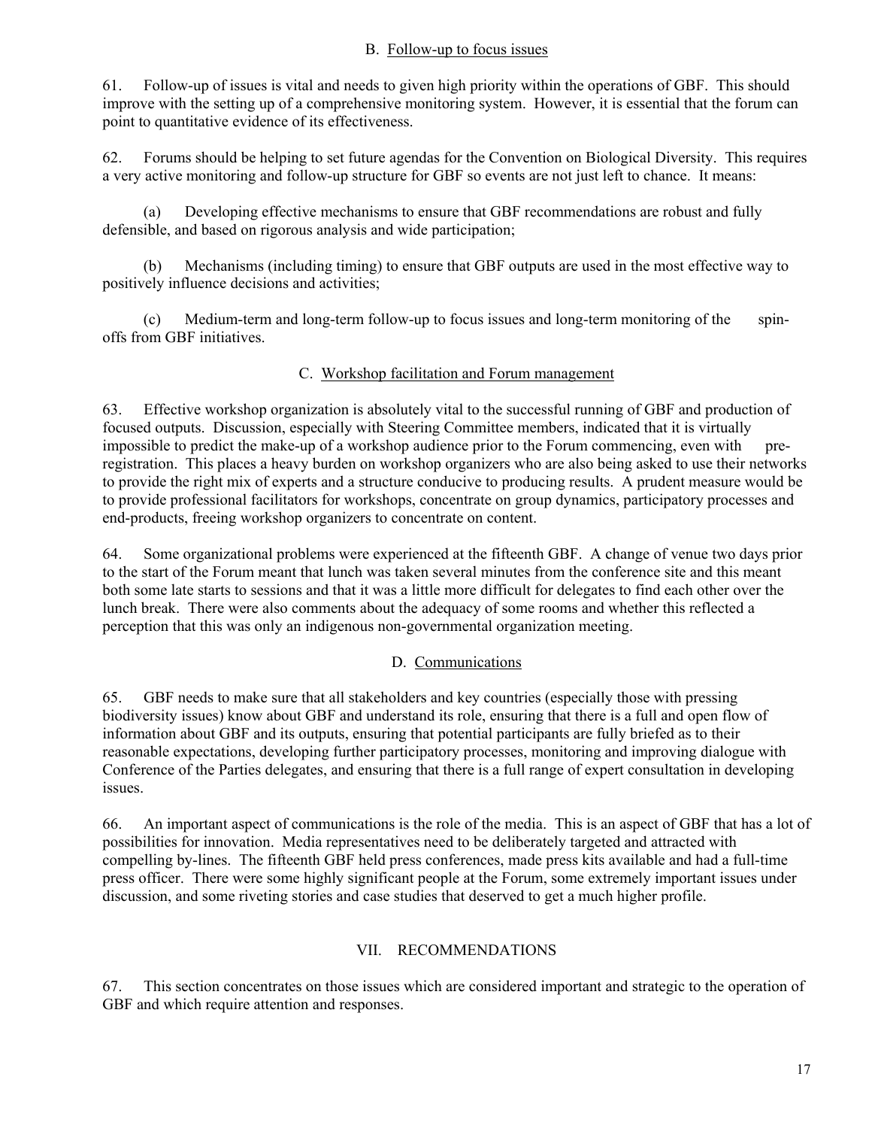#### B. Follow-up to focus issues

61. Follow-up of issues is vital and needs to given high priority within the operations of GBF. This should improve with the setting up of a comprehensive monitoring system. However, it is essential that the forum can point to quantitative evidence of its effectiveness.

62. Forums should be helping to set future agendas for the Convention on Biological Diversity. This requires a very active monitoring and follow-up structure for GBF so events are not just left to chance. It means:

(a) Developing effective mechanisms to ensure that GBF recommendations are robust and fully defensible, and based on rigorous analysis and wide participation;

(b) Mechanisms (including timing) to ensure that GBF outputs are used in the most effective way to positively influence decisions and activities;

(c) Medium-term and long-term follow-up to focus issues and long-term monitoring of the spinoffs from GBF initiatives.

#### C. Workshop facilitation and Forum management

63. Effective workshop organization is absolutely vital to the successful running of GBF and production of focused outputs. Discussion, especially with Steering Committee members, indicated that it is virtually impossible to predict the make-up of a workshop audience prior to the Forum commencing, even with preregistration. This places a heavy burden on workshop organizers who are also being asked to use their networks to provide the right mix of experts and a structure conducive to producing results. A prudent measure would be to provide professional facilitators for workshops, concentrate on group dynamics, participatory processes and end-products, freeing workshop organizers to concentrate on content.

64. Some organizational problems were experienced at the fifteenth GBF. A change of venue two days prior to the start of the Forum meant that lunch was taken several minutes from the conference site and this meant both some late starts to sessions and that it was a little more difficult for delegates to find each other over the lunch break. There were also comments about the adequacy of some rooms and whether this reflected a perception that this was only an indigenous non-governmental organization meeting.

# D. Communications

65. GBF needs to make sure that all stakeholders and key countries (especially those with pressing biodiversity issues) know about GBF and understand its role, ensuring that there is a full and open flow of information about GBF and its outputs, ensuring that potential participants are fully briefed as to their reasonable expectations, developing further participatory processes, monitoring and improving dialogue with Conference of the Parties delegates, and ensuring that there is a full range of expert consultation in developing issues.

66. An important aspect of communications is the role of the media. This is an aspect of GBF that has a lot of possibilities for innovation. Media representatives need to be deliberately targeted and attracted with compelling by-lines. The fifteenth GBF held press conferences, made press kits available and had a full-time press officer. There were some highly significant people at the Forum, some extremely important issues under discussion, and some riveting stories and case studies that deserved to get a much higher profile.

# VII. RECOMMENDATIONS

67. This section concentrates on those issues which are considered important and strategic to the operation of GBF and which require attention and responses.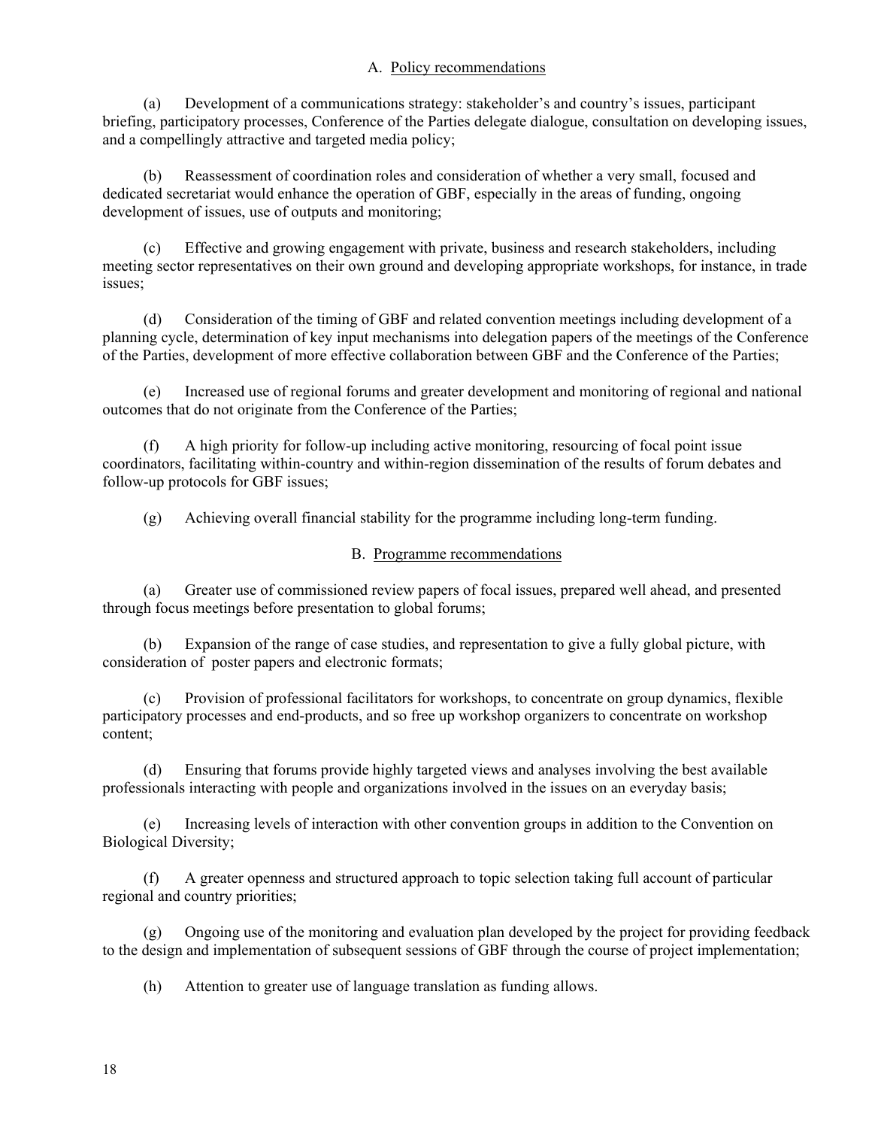#### A. Policy recommendations

(a) Development of a communications strategy: stakeholder's and country's issues, participant briefing, participatory processes, Conference of the Parties delegate dialogue, consultation on developing issues, and a compellingly attractive and targeted media policy;

Reassessment of coordination roles and consideration of whether a very small, focused and dedicated secretariat would enhance the operation of GBF, especially in the areas of funding, ongoing development of issues, use of outputs and monitoring;

(c) Effective and growing engagement with private, business and research stakeholders, including meeting sector representatives on their own ground and developing appropriate workshops, for instance, in trade issues;

(d) Consideration of the timing of GBF and related convention meetings including development of a planning cycle, determination of key input mechanisms into delegation papers of the meetings of the Conference of the Parties, development of more effective collaboration between GBF and the Conference of the Parties;

(e) Increased use of regional forums and greater development and monitoring of regional and national outcomes that do not originate from the Conference of the Parties;

(f) A high priority for follow-up including active monitoring, resourcing of focal point issue coordinators, facilitating within-country and within-region dissemination of the results of forum debates and follow-up protocols for GBF issues;

(g) Achieving overall financial stability for the programme including long-term funding.

#### B. Programme recommendations

(a) Greater use of commissioned review papers of focal issues, prepared well ahead, and presented through focus meetings before presentation to global forums;

(b) Expansion of the range of case studies, and representation to give a fully global picture, with consideration of poster papers and electronic formats;

(c) Provision of professional facilitators for workshops, to concentrate on group dynamics, flexible participatory processes and end-products, and so free up workshop organizers to concentrate on workshop content;

(d) Ensuring that forums provide highly targeted views and analyses involving the best available professionals interacting with people and organizations involved in the issues on an everyday basis;

(e) Increasing levels of interaction with other convention groups in addition to the Convention on Biological Diversity;

(f) A greater openness and structured approach to topic selection taking full account of particular regional and country priorities;

(g) Ongoing use of the monitoring and evaluation plan developed by the project for providing feedback to the design and implementation of subsequent sessions of GBF through the course of project implementation;

(h) Attention to greater use of language translation as funding allows.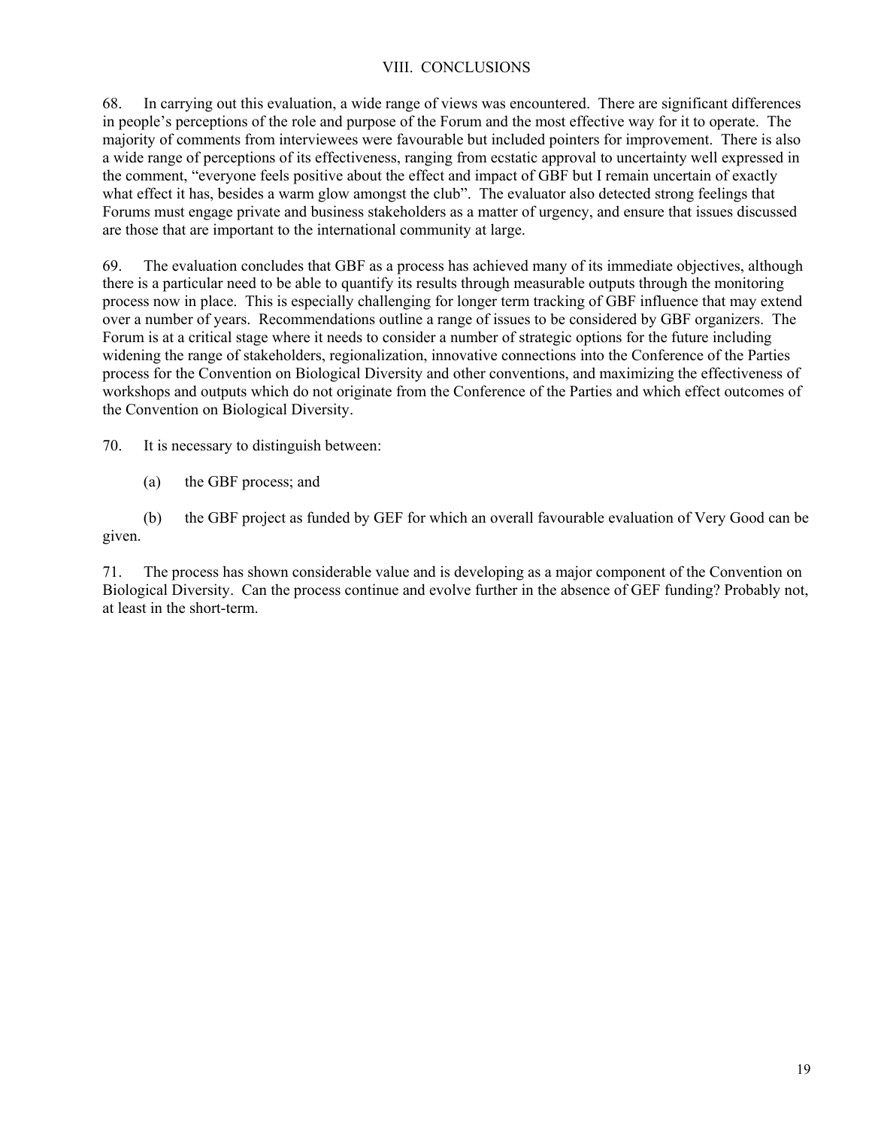# VIII. CONCLUSIONS

68. In carrying out this evaluation, a wide range of views was encountered. There are significant differences in people's perceptions of the role and purpose of the Forum and the most effective way for it to operate. The majority of comments from interviewees were favourable but included pointers for improvement. There is also a wide range of perceptions of its effectiveness, ranging from ecstatic approval to uncertainty well expressed in the comment, "everyone feels positive about the effect and impact of GBF but I remain uncertain of exactly what effect it has, besides a warm glow amongst the club". The evaluator also detected strong feelings that Forums must engage private and business stakeholders as a matter of urgency, and ensure that issues discussed are those that are important to the international community at large.

69. The evaluation concludes that GBF as a process has achieved many of its immediate objectives, although there is a particular need to be able to quantify its results through measurable outputs through the monitoring process now in place. This is especially challenging for longer term tracking of GBF influence that may extend over a number of years. Recommendations outline a range of issues to be considered by GBF organizers. The Forum is at a critical stage where it needs to consider a number of strategic options for the future including widening the range of stakeholders, regionalization, innovative connections into the Conference of the Parties process for the Convention on Biological Diversity and other conventions, and maximizing the effectiveness of workshops and outputs which do not originate from the Conference of the Parties and which effect outcomes of the Convention on Biological Diversity.

70. It is necessary to distinguish between:

(a) the GBF process; and

(b) the GBF project as funded by GEF for which an overall favourable evaluation of Very Good can be given.

71. The process has shown considerable value and is developing as a major component of the Convention on Biological Diversity. Can the process continue and evolve further in the absence of GEF funding? Probably not, at least in the short-term.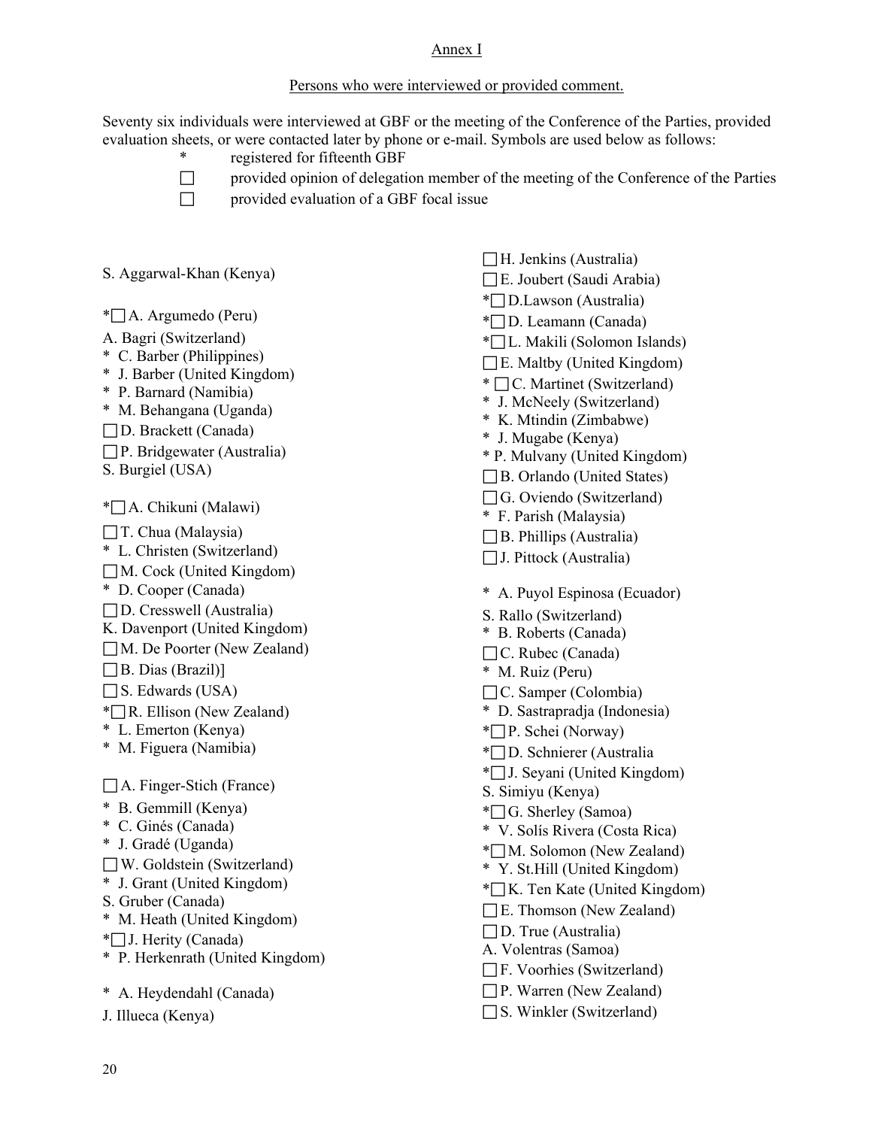#### Annex I

### Persons who were interviewed or provided comment.

Seventy six individuals were interviewed at GBF or the meeting of the Conference of the Parties, provided evaluation sheets, or were contacted later by phone or e-mail. Symbols are used below as follows:

- registered for fifteenth GBF
- $\Box$  provided opinion of delegation member of the meeting of the Conference of the Parties
- 
- $\Box$  provided evaluation of a GBF focal issue

S. Aggarwal-Khan (Kenya)

 $\mathbb{Z}$  A. Argumedo (Peru)

A. Bagri (Switzerland)

- \* C. Barber (Philippines)
- \* J. Barber (United Kingdom)
- \* P. Barnard (Namibia)
- \* M. Behangana (Uganda)
- D. Brackett (Canada)
- $\Box P$ . Bridgewater (Australia)
- S. Burgiel (USA)

 $*$  A. Chikuni (Malawi)

- $\Box$  T. Chua (Malaysia)
- \* L. Christen (Switzerland)
- $\Box$  M. Cock (United Kingdom)
- \* D. Cooper (Canada)
- $\Box$  D. Cresswell (Australia)
- K. Davenport (United Kingdom)
- M. De Poorter (New Zealand)
- $\Box$  B. Dias (Brazil)]
- $\Box$  S. Edwards (USA)
- $\sqrt{\pi}$  R. Ellison (New Zealand)
- \* L. Emerton (Kenya)
- \* M. Figuera (Namibia)

 $\Box$  A. Finger-Stich (France)

- \* B. Gemmill (Kenya)
- \* C. Ginés (Canada)
- \* J. Gradé (Uganda)
- W. Goldstein (Switzerland)
- \* J. Grant (United Kingdom)
- S. Gruber (Canada)
- \* M. Heath (United Kingdom)
- \* J. Herity (Canada)
- \* P. Herkenrath (United Kingdom)
- \* A. Heydendahl (Canada)
- J. Illueca (Kenya)
- $\Box$  H. Jenkins (Australia)  $\Box$  E. Joubert (Saudi Arabia) \* D.Lawson (Australia) \*<sup>D.</sup> Leamann (Canada) \* L. Makili (Solomon Islands)  $\Box$  E. Maltby (United Kingdom) \*  $\Box$  C. Martinet (Switzerland) \* J. McNeely (Switzerland) \* K. Mtindin (Zimbabwe) \* J. Mugabe (Kenya) \* P. Mulvany (United Kingdom) B. Orlando (United States) G. Oviendo (Switzerland) \* F. Parish (Malaysia)  $\Box$  B. Phillips (Australia)  $\Box$  J. Pittock (Australia) \* A. Puyol Espinosa (Ecuador) S. Rallo (Switzerland) \* B. Roberts (Canada) □C. Rubec (Canada) \* M. Ruiz (Peru) C. Samper (Colombia) \* D. Sastrapradja (Indonesia) \* P. Schei (Norway) \* D. Schnierer (Australia  $\overline{\phantom{a}}$  J. Seyani (United Kingdom) S. Simiyu (Kenya)  $\overline{\phantom{a}}$  G. Sherley (Samoa) \* V. Solís Rivera (Costa Rica)  $*$  M. Solomon (New Zealand) \* Y. St.Hill (United Kingdom)  $\sqrt{\ }$ K. Ten Kate (United Kingdom)  $\Box$  E. Thomson (New Zealand)  $\Box$  D. True (Australia) A. Volentras (Samoa) F. Voorhies (Switzerland) P. Warren (New Zealand)
- $\Box$  S. Winkler (Switzerland)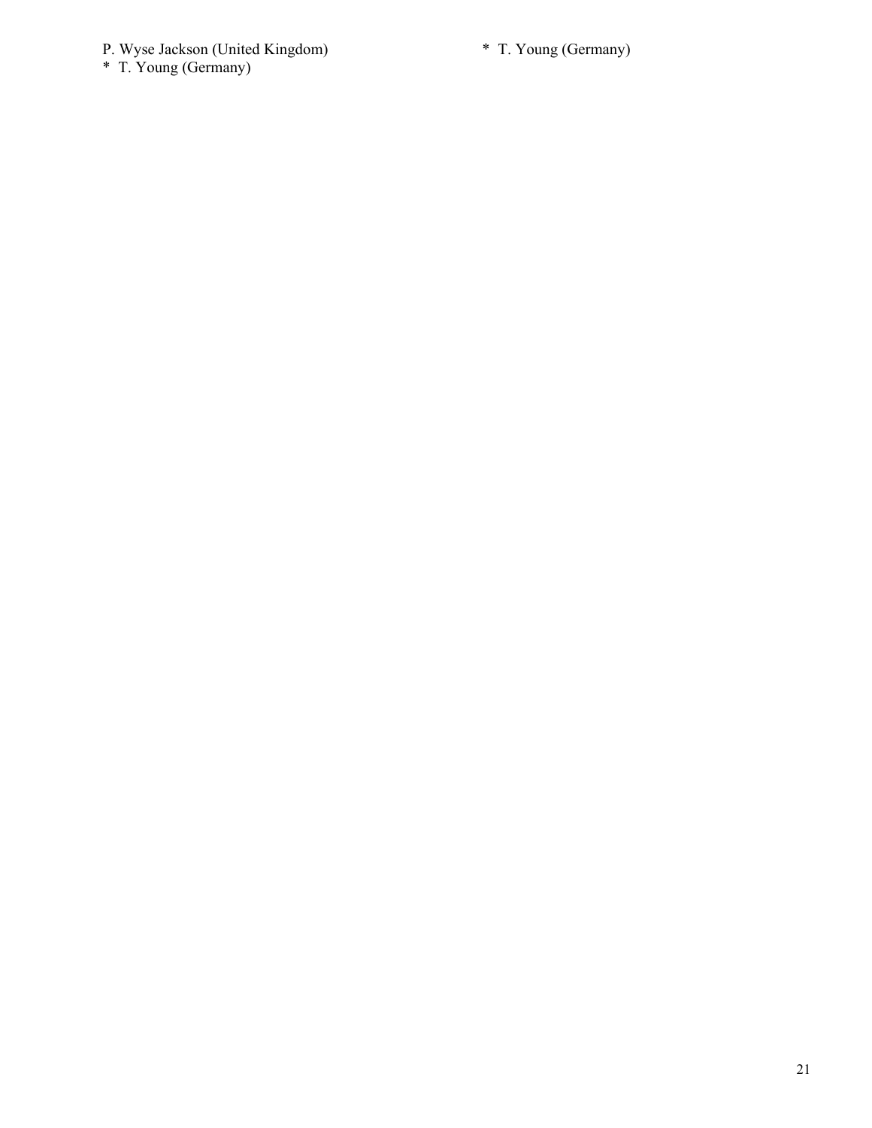#### P. Wyse Jackson (United Kingdom)

\* T. Young (Germany)

\* T. Young (Germany)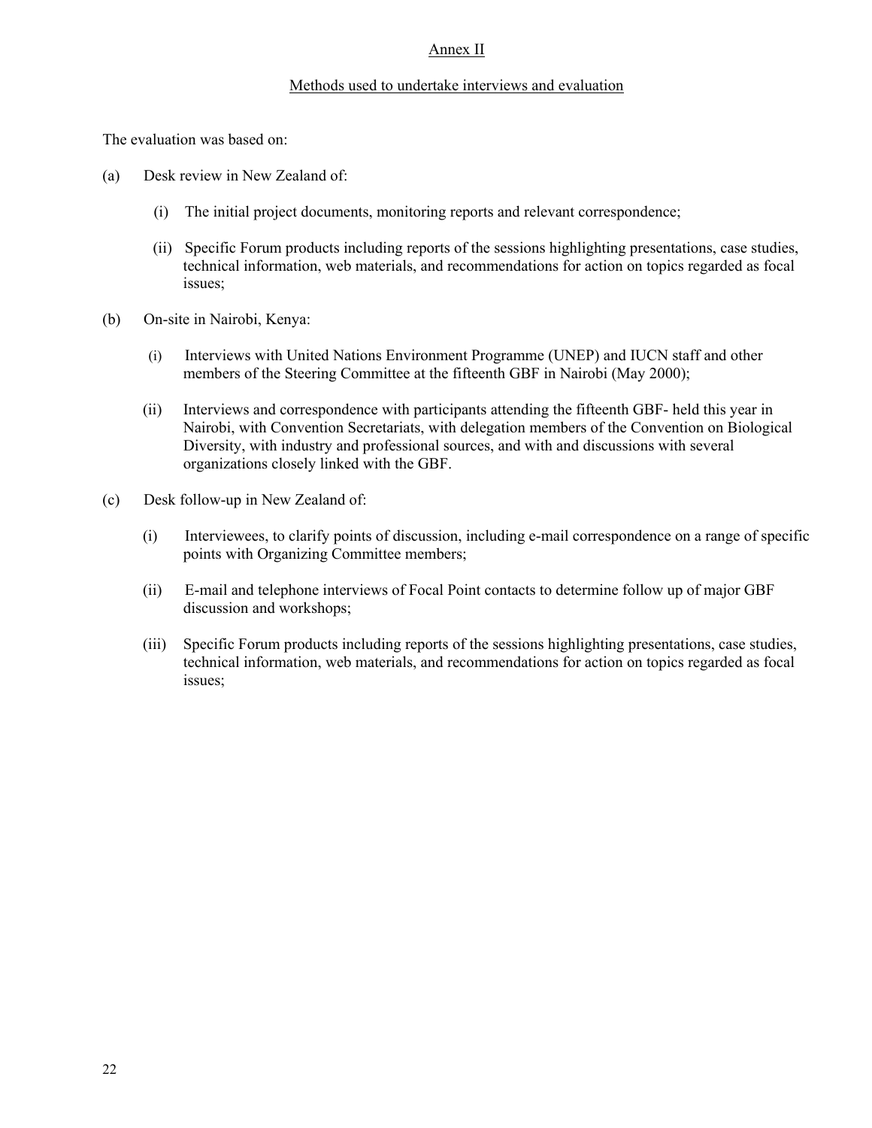#### Annex II

#### Methods used to undertake interviews and evaluation

The evaluation was based on:

- (a) Desk review in New Zealand of:
	- (i) The initial project documents, monitoring reports and relevant correspondence;
	- (ii) Specific Forum products including reports of the sessions highlighting presentations, case studies, technical information, web materials, and recommendations for action on topics regarded as focal issues;
- (b) On-site in Nairobi, Kenya:
	- (i) Interviews with United Nations Environment Programme (UNEP) and IUCN staff and other members of the Steering Committee at the fifteenth GBF in Nairobi (May 2000);
	- (ii) Interviews and correspondence with participants attending the fifteenth GBF- held this year in Nairobi, with Convention Secretariats, with delegation members of the Convention on Biological Diversity, with industry and professional sources, and with and discussions with several organizations closely linked with the GBF.
- (c) Desk follow-up in New Zealand of:
	- (i) Interviewees, to clarify points of discussion, including e-mail correspondence on a range of specific points with Organizing Committee members;
	- (ii) E-mail and telephone interviews of Focal Point contacts to determine follow up of major GBF discussion and workshops;
	- (iii) Specific Forum products including reports of the sessions highlighting presentations, case studies, technical information, web materials, and recommendations for action on topics regarded as focal issues;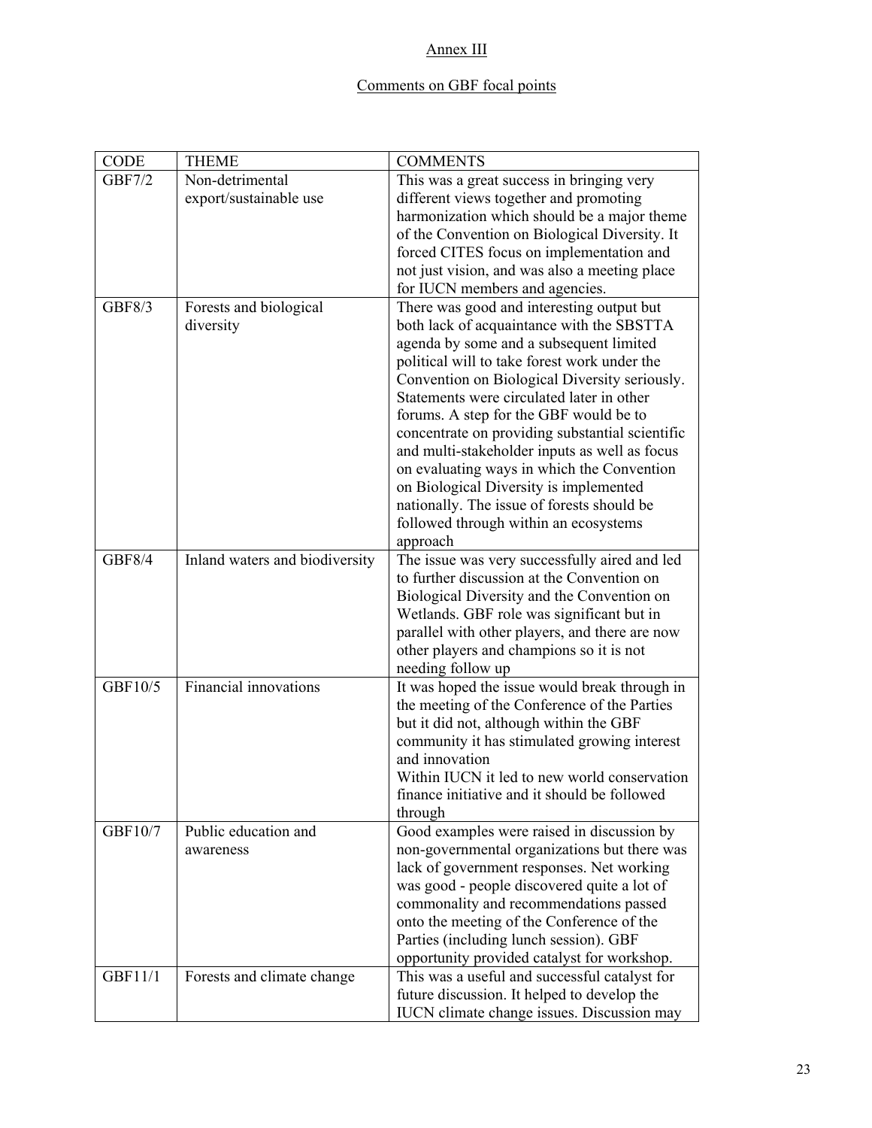# Annex III

# Comments on GBF focal points

| CODE          | <b>THEME</b>                        | <b>COMMENTS</b>                                                                                  |
|---------------|-------------------------------------|--------------------------------------------------------------------------------------------------|
| <b>GBF7/2</b> | Non-detrimental                     | This was a great success in bringing very                                                        |
|               | export/sustainable use              | different views together and promoting                                                           |
|               |                                     | harmonization which should be a major theme                                                      |
|               |                                     | of the Convention on Biological Diversity. It                                                    |
|               |                                     | forced CITES focus on implementation and                                                         |
|               |                                     | not just vision, and was also a meeting place                                                    |
|               |                                     | for IUCN members and agencies.                                                                   |
| <b>GBF8/3</b> | Forests and biological<br>diversity | There was good and interesting output but<br>both lack of acquaintance with the SBSTTA           |
|               |                                     | agenda by some and a subsequent limited                                                          |
|               |                                     | political will to take forest work under the                                                     |
|               |                                     | Convention on Biological Diversity seriously.                                                    |
|               |                                     | Statements were circulated later in other                                                        |
|               |                                     | forums. A step for the GBF would be to                                                           |
|               |                                     | concentrate on providing substantial scientific<br>and multi-stakeholder inputs as well as focus |
|               |                                     | on evaluating ways in which the Convention                                                       |
|               |                                     | on Biological Diversity is implemented                                                           |
|               |                                     | nationally. The issue of forests should be                                                       |
|               |                                     | followed through within an ecosystems                                                            |
|               |                                     | approach                                                                                         |
| <b>GBF8/4</b> | Inland waters and biodiversity      | The issue was very successfully aired and led                                                    |
|               |                                     | to further discussion at the Convention on                                                       |
|               |                                     | Biological Diversity and the Convention on                                                       |
|               |                                     | Wetlands. GBF role was significant but in                                                        |
|               |                                     | parallel with other players, and there are now                                                   |
|               |                                     | other players and champions so it is not                                                         |
|               | Financial innovations               | needing follow up                                                                                |
| GBF10/5       |                                     | It was hoped the issue would break through in<br>the meeting of the Conference of the Parties    |
|               |                                     | but it did not, although within the GBF                                                          |
|               |                                     | community it has stimulated growing interest                                                     |
|               |                                     | and innovation                                                                                   |
|               |                                     | Within IUCN it led to new world conservation                                                     |
|               |                                     | finance initiative and it should be followed                                                     |
|               |                                     | through                                                                                          |
| GBF10/7       | Public education and                | Good examples were raised in discussion by                                                       |
|               | awareness                           | non-governmental organizations but there was                                                     |
|               |                                     | lack of government responses. Net working                                                        |
|               |                                     | was good - people discovered quite a lot of                                                      |
|               |                                     | commonality and recommendations passed                                                           |
|               |                                     | onto the meeting of the Conference of the                                                        |
|               |                                     | Parties (including lunch session). GBF                                                           |
|               |                                     | opportunity provided catalyst for workshop.                                                      |
| GBF11/1       | Forests and climate change          | This was a useful and successful catalyst for                                                    |
|               |                                     | future discussion. It helped to develop the                                                      |
|               |                                     | IUCN climate change issues. Discussion may                                                       |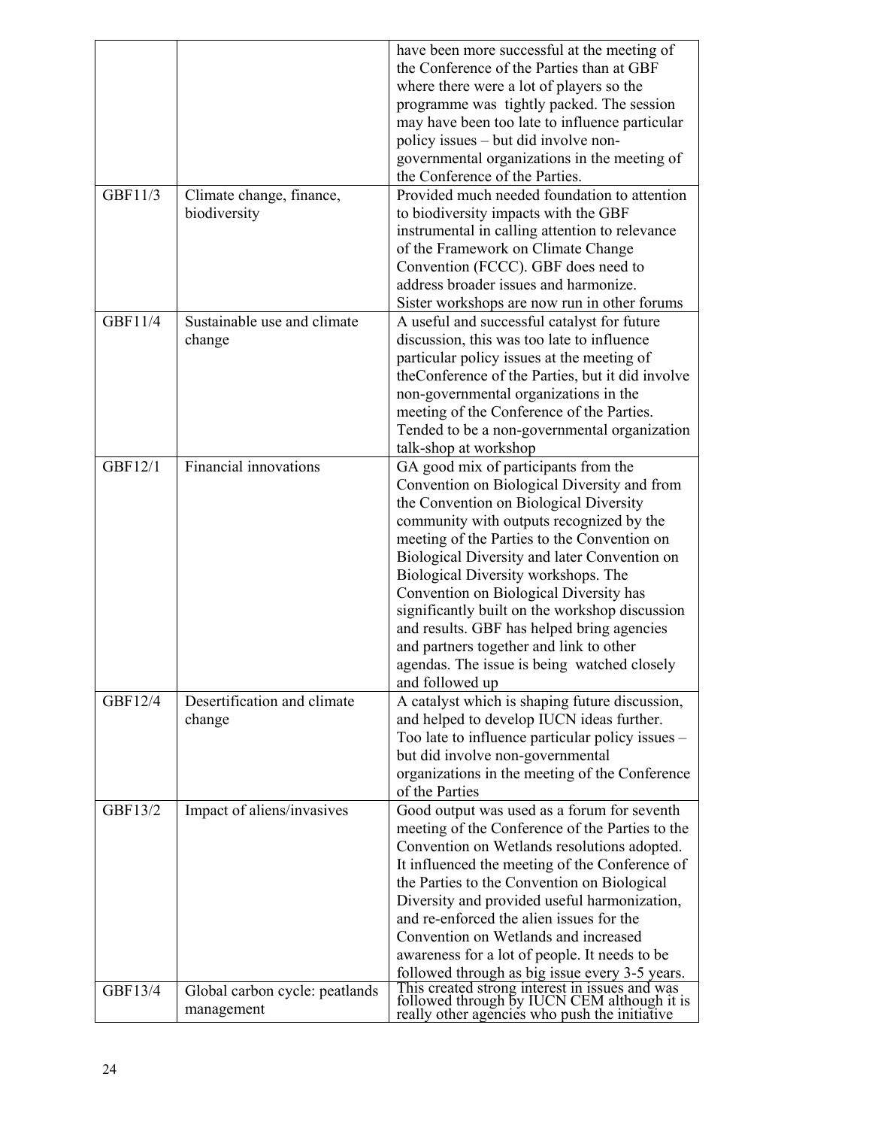|         |                                | have been more successful at the meeting of<br>the Conference of the Parties than at GBF<br>where there were a lot of players so the<br>programme was tightly packed. The session |
|---------|--------------------------------|-----------------------------------------------------------------------------------------------------------------------------------------------------------------------------------|
|         |                                | may have been too late to influence particular                                                                                                                                    |
|         |                                | policy issues – but did involve non-                                                                                                                                              |
|         |                                | governmental organizations in the meeting of<br>the Conference of the Parties.                                                                                                    |
| GBF11/3 | Climate change, finance,       | Provided much needed foundation to attention                                                                                                                                      |
|         | biodiversity                   | to biodiversity impacts with the GBF                                                                                                                                              |
|         |                                | instrumental in calling attention to relevance                                                                                                                                    |
|         |                                | of the Framework on Climate Change                                                                                                                                                |
|         |                                | Convention (FCCC). GBF does need to                                                                                                                                               |
|         |                                | address broader issues and harmonize.                                                                                                                                             |
|         |                                | Sister workshops are now run in other forums                                                                                                                                      |
| GBF11/4 | Sustainable use and climate    | A useful and successful catalyst for future                                                                                                                                       |
|         | change                         | discussion, this was too late to influence                                                                                                                                        |
|         |                                | particular policy issues at the meeting of                                                                                                                                        |
|         |                                | the Conference of the Parties, but it did involve                                                                                                                                 |
|         |                                | non-governmental organizations in the<br>meeting of the Conference of the Parties.                                                                                                |
|         |                                | Tended to be a non-governmental organization                                                                                                                                      |
|         |                                | talk-shop at workshop                                                                                                                                                             |
| GBF12/1 | Financial innovations          | GA good mix of participants from the                                                                                                                                              |
|         |                                | Convention on Biological Diversity and from                                                                                                                                       |
|         |                                | the Convention on Biological Diversity                                                                                                                                            |
|         |                                | community with outputs recognized by the                                                                                                                                          |
|         |                                | meeting of the Parties to the Convention on                                                                                                                                       |
|         |                                | Biological Diversity and later Convention on                                                                                                                                      |
|         |                                | Biological Diversity workshops. The<br>Convention on Biological Diversity has                                                                                                     |
|         |                                | significantly built on the workshop discussion                                                                                                                                    |
|         |                                | and results. GBF has helped bring agencies                                                                                                                                        |
|         |                                | and partners together and link to other                                                                                                                                           |
|         |                                | agendas. The issue is being watched closely                                                                                                                                       |
|         |                                | and followed up                                                                                                                                                                   |
| GBF12/4 | Desertification and climate    | A catalyst which is shaping future discussion,                                                                                                                                    |
|         | change                         | and helped to develop IUCN ideas further.                                                                                                                                         |
|         |                                | Too late to influence particular policy issues -                                                                                                                                  |
|         |                                | but did involve non-governmental                                                                                                                                                  |
|         |                                | organizations in the meeting of the Conference<br>of the Parties                                                                                                                  |
| GBF13/2 | Impact of aliens/invasives     | Good output was used as a forum for seventh                                                                                                                                       |
|         |                                | meeting of the Conference of the Parties to the                                                                                                                                   |
|         |                                | Convention on Wetlands resolutions adopted.                                                                                                                                       |
|         |                                | It influenced the meeting of the Conference of                                                                                                                                    |
|         |                                | the Parties to the Convention on Biological                                                                                                                                       |
|         |                                | Diversity and provided useful harmonization,                                                                                                                                      |
|         |                                | and re-enforced the alien issues for the                                                                                                                                          |
|         |                                | Convention on Wetlands and increased                                                                                                                                              |
|         |                                | awareness for a lot of people. It needs to be                                                                                                                                     |
| GBF13/4 | Global carbon cycle: peatlands | followed through as big issue every 3-5 years.<br>This created strong interest in issues and was                                                                                  |
|         | management                     | followed through by IUCN CEM although it is<br>really other agencies who push the initiative                                                                                      |
|         |                                |                                                                                                                                                                                   |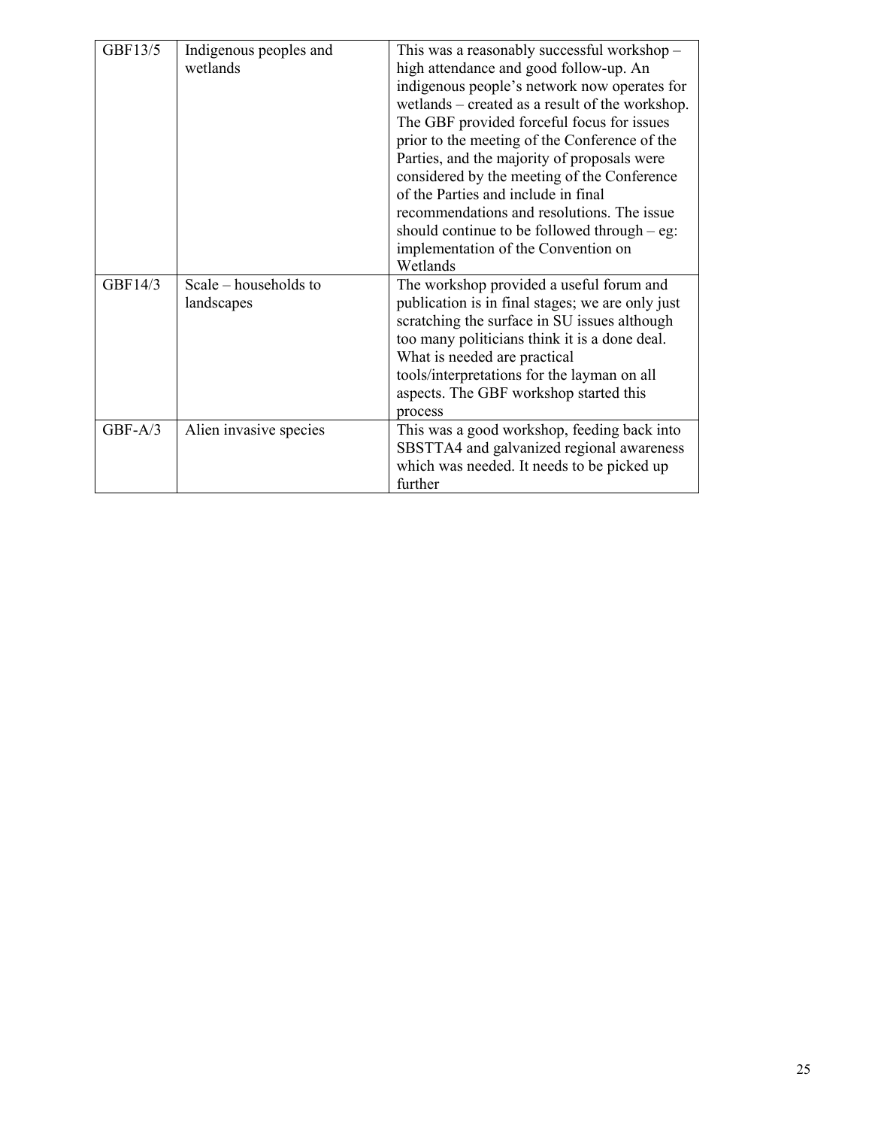| GBF13/5   | Indigenous peoples and  | This was a reasonably successful workshop -      |
|-----------|-------------------------|--------------------------------------------------|
|           | wetlands                | high attendance and good follow-up. An           |
|           |                         | indigenous people's network now operates for     |
|           |                         | wetlands – created as a result of the workshop.  |
|           |                         | The GBF provided forceful focus for issues       |
|           |                         | prior to the meeting of the Conference of the    |
|           |                         | Parties, and the majority of proposals were      |
|           |                         | considered by the meeting of the Conference      |
|           |                         | of the Parties and include in final              |
|           |                         | recommendations and resolutions. The issue       |
|           |                         | should continue to be followed through $-$ eg:   |
|           |                         | implementation of the Convention on              |
|           |                         | Wetlands                                         |
| GBF14/3   | Scale $-$ households to | The workshop provided a useful forum and         |
|           | landscapes              | publication is in final stages; we are only just |
|           |                         | scratching the surface in SU issues although     |
|           |                         | too many politicians think it is a done deal.    |
|           |                         | What is needed are practical                     |
|           |                         | tools/interpretations for the layman on all      |
|           |                         | aspects. The GBF workshop started this           |
|           |                         | process                                          |
| $GBF-A/3$ | Alien invasive species  | This was a good workshop, feeding back into      |
|           |                         | SBSTTA4 and galvanized regional awareness        |
|           |                         | which was needed. It needs to be picked up       |
|           |                         | further                                          |